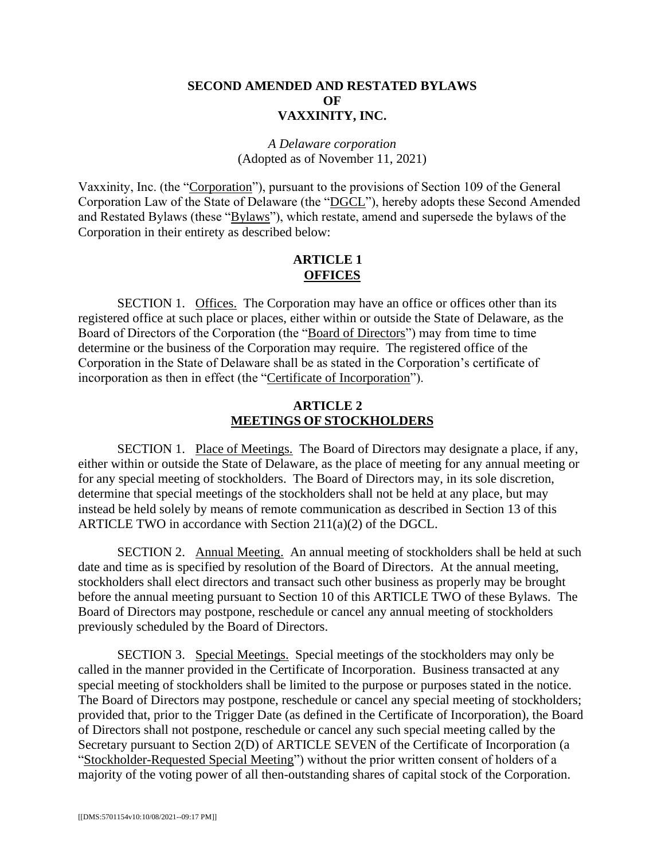## **SECOND AMENDED AND RESTATED BYLAWS OF VAXXINITY, INC.**

## *A Delaware corporation*  (Adopted as of November 11, 2021)

Vaxxinity, Inc. (the "Corporation"), pursuant to the provisions of Section 109 of the General Corporation Law of the State of Delaware (the "DGCL"), hereby adopts these Second Amended and Restated Bylaws (these "Bylaws"), which restate, amend and supersede the bylaws of the Corporation in their entirety as described below:

### **ARTICLE 1 OFFICES**

SECTION 1. Offices. The Corporation may have an office or offices other than its registered office at such place or places, either within or outside the State of Delaware, as the Board of Directors of the Corporation (the "Board of Directors") may from time to time determine or the business of the Corporation may require. The registered office of the Corporation in the State of Delaware shall be as stated in the Corporation's certificate of incorporation as then in effect (the "Certificate of Incorporation").

#### **ARTICLE 2 MEETINGS OF STOCKHOLDERS**

SECTION 1. Place of Meetings. The Board of Directors may designate a place, if any, either within or outside the State of Delaware, as the place of meeting for any annual meeting or for any special meeting of stockholders. The Board of Directors may, in its sole discretion, determine that special meetings of the stockholders shall not be held at any place, but may instead be held solely by means of remote communication as described in Section 13 of this ARTICLE TWO in accordance with Section 211(a)(2) of the DGCL.

SECTION 2. Annual Meeting. An annual meeting of stockholders shall be held at such date and time as is specified by resolution of the Board of Directors. At the annual meeting, stockholders shall elect directors and transact such other business as properly may be brought before the annual meeting pursuant to Section 10 of this ARTICLE TWO of these Bylaws. The Board of Directors may postpone, reschedule or cancel any annual meeting of stockholders previously scheduled by the Board of Directors.

SECTION 3. Special Meetings. Special meetings of the stockholders may only be called in the manner provided in the Certificate of Incorporation. Business transacted at any special meeting of stockholders shall be limited to the purpose or purposes stated in the notice. The Board of Directors may postpone, reschedule or cancel any special meeting of stockholders; provided that, prior to the Trigger Date (as defined in the Certificate of Incorporation), the Board of Directors shall not postpone, reschedule or cancel any such special meeting called by the Secretary pursuant to Section 2(D) of ARTICLE SEVEN of the Certificate of Incorporation (a "Stockholder-Requested Special Meeting") without the prior written consent of holders of a majority of the voting power of all then-outstanding shares of capital stock of the Corporation.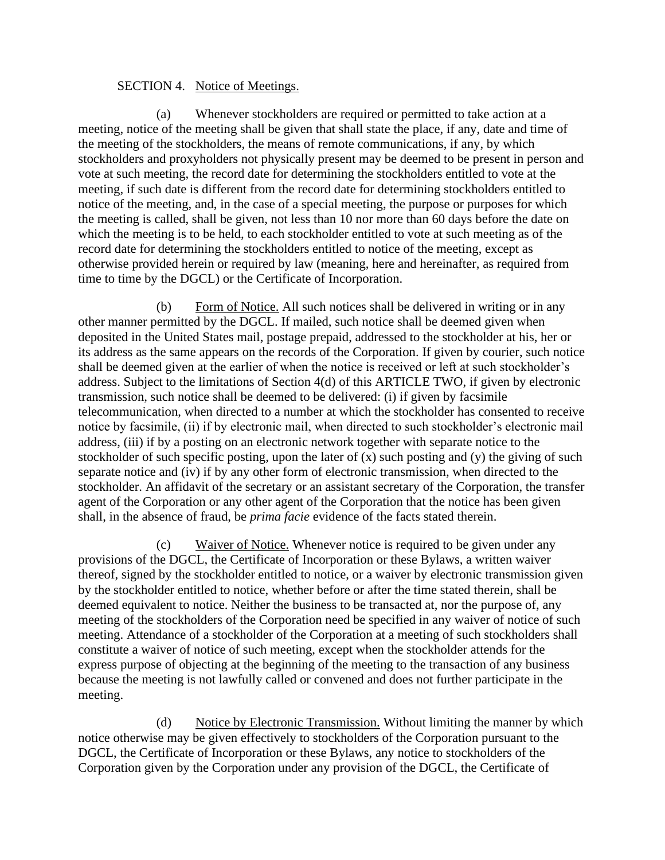### SECTION 4. Notice of Meetings.

(a) Whenever stockholders are required or permitted to take action at a meeting, notice of the meeting shall be given that shall state the place, if any, date and time of the meeting of the stockholders, the means of remote communications, if any, by which stockholders and proxyholders not physically present may be deemed to be present in person and vote at such meeting, the record date for determining the stockholders entitled to vote at the meeting, if such date is different from the record date for determining stockholders entitled to notice of the meeting, and, in the case of a special meeting, the purpose or purposes for which the meeting is called, shall be given, not less than 10 nor more than 60 days before the date on which the meeting is to be held, to each stockholder entitled to vote at such meeting as of the record date for determining the stockholders entitled to notice of the meeting, except as otherwise provided herein or required by law (meaning, here and hereinafter, as required from time to time by the DGCL) or the Certificate of Incorporation.

(b) Form of Notice. All such notices shall be delivered in writing or in any other manner permitted by the DGCL. If mailed, such notice shall be deemed given when deposited in the United States mail, postage prepaid, addressed to the stockholder at his, her or its address as the same appears on the records of the Corporation. If given by courier, such notice shall be deemed given at the earlier of when the notice is received or left at such stockholder's address. Subject to the limitations of Section 4(d) of this ARTICLE TWO, if given by electronic transmission, such notice shall be deemed to be delivered: (i) if given by facsimile telecommunication, when directed to a number at which the stockholder has consented to receive notice by facsimile, (ii) if by electronic mail, when directed to such stockholder's electronic mail address, (iii) if by a posting on an electronic network together with separate notice to the stockholder of such specific posting, upon the later of (x) such posting and (y) the giving of such separate notice and (iv) if by any other form of electronic transmission, when directed to the stockholder. An affidavit of the secretary or an assistant secretary of the Corporation, the transfer agent of the Corporation or any other agent of the Corporation that the notice has been given shall, in the absence of fraud, be *prima facie* evidence of the facts stated therein.

(c) Waiver of Notice. Whenever notice is required to be given under any provisions of the DGCL, the Certificate of Incorporation or these Bylaws, a written waiver thereof, signed by the stockholder entitled to notice, or a waiver by electronic transmission given by the stockholder entitled to notice, whether before or after the time stated therein, shall be deemed equivalent to notice. Neither the business to be transacted at, nor the purpose of, any meeting of the stockholders of the Corporation need be specified in any waiver of notice of such meeting. Attendance of a stockholder of the Corporation at a meeting of such stockholders shall constitute a waiver of notice of such meeting, except when the stockholder attends for the express purpose of objecting at the beginning of the meeting to the transaction of any business because the meeting is not lawfully called or convened and does not further participate in the meeting.

(d) Notice by Electronic Transmission. Without limiting the manner by which notice otherwise may be given effectively to stockholders of the Corporation pursuant to the DGCL, the Certificate of Incorporation or these Bylaws, any notice to stockholders of the Corporation given by the Corporation under any provision of the DGCL, the Certificate of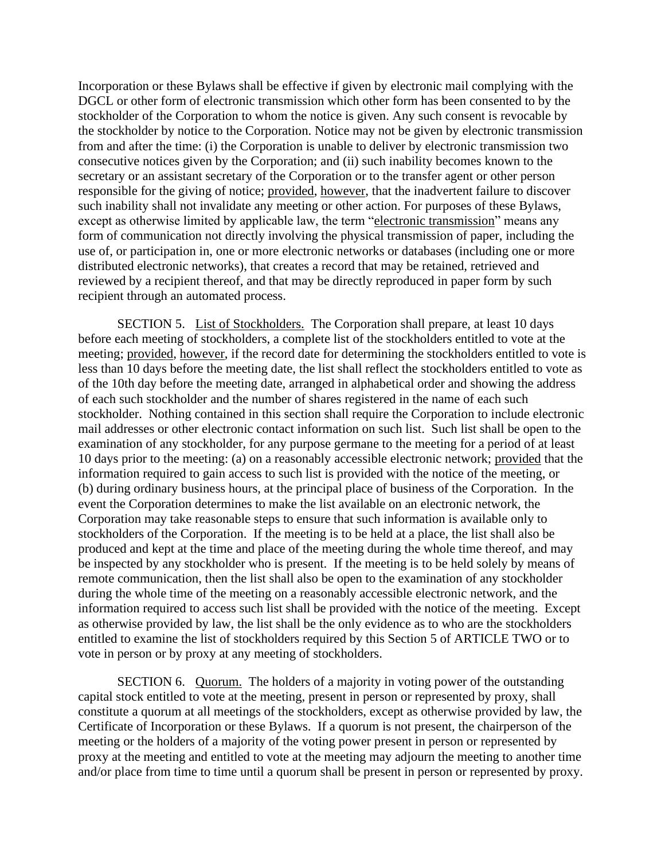Incorporation or these Bylaws shall be effective if given by electronic mail complying with the DGCL or other form of electronic transmission which other form has been consented to by the stockholder of the Corporation to whom the notice is given. Any such consent is revocable by the stockholder by notice to the Corporation. Notice may not be given by electronic transmission from and after the time: (i) the Corporation is unable to deliver by electronic transmission two consecutive notices given by the Corporation; and (ii) such inability becomes known to the secretary or an assistant secretary of the Corporation or to the transfer agent or other person responsible for the giving of notice; provided, however, that the inadvertent failure to discover such inability shall not invalidate any meeting or other action. For purposes of these Bylaws, except as otherwise limited by applicable law, the term "electronic transmission" means any form of communication not directly involving the physical transmission of paper, including the use of, or participation in, one or more electronic networks or databases (including one or more distributed electronic networks), that creates a record that may be retained, retrieved and reviewed by a recipient thereof, and that may be directly reproduced in paper form by such recipient through an automated process.

SECTION 5. List of Stockholders. The Corporation shall prepare, at least 10 days before each meeting of stockholders, a complete list of the stockholders entitled to vote at the meeting; provided, however, if the record date for determining the stockholders entitled to vote is less than 10 days before the meeting date, the list shall reflect the stockholders entitled to vote as of the 10th day before the meeting date, arranged in alphabetical order and showing the address of each such stockholder and the number of shares registered in the name of each such stockholder. Nothing contained in this section shall require the Corporation to include electronic mail addresses or other electronic contact information on such list. Such list shall be open to the examination of any stockholder, for any purpose germane to the meeting for a period of at least 10 days prior to the meeting: (a) on a reasonably accessible electronic network; provided that the information required to gain access to such list is provided with the notice of the meeting, or (b) during ordinary business hours, at the principal place of business of the Corporation. In the event the Corporation determines to make the list available on an electronic network, the Corporation may take reasonable steps to ensure that such information is available only to stockholders of the Corporation. If the meeting is to be held at a place, the list shall also be produced and kept at the time and place of the meeting during the whole time thereof, and may be inspected by any stockholder who is present. If the meeting is to be held solely by means of remote communication, then the list shall also be open to the examination of any stockholder during the whole time of the meeting on a reasonably accessible electronic network, and the information required to access such list shall be provided with the notice of the meeting. Except as otherwise provided by law, the list shall be the only evidence as to who are the stockholders entitled to examine the list of stockholders required by this Section 5 of ARTICLE TWO or to vote in person or by proxy at any meeting of stockholders.

SECTION 6. Quorum. The holders of a majority in voting power of the outstanding capital stock entitled to vote at the meeting, present in person or represented by proxy, shall constitute a quorum at all meetings of the stockholders, except as otherwise provided by law, the Certificate of Incorporation or these Bylaws. If a quorum is not present, the chairperson of the meeting or the holders of a majority of the voting power present in person or represented by proxy at the meeting and entitled to vote at the meeting may adjourn the meeting to another time and/or place from time to time until a quorum shall be present in person or represented by proxy.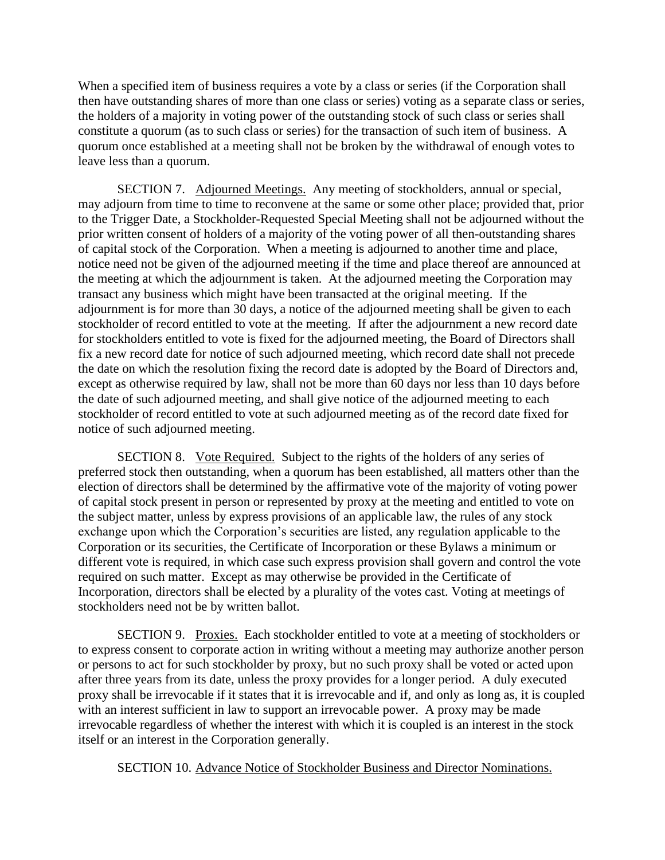When a specified item of business requires a vote by a class or series (if the Corporation shall then have outstanding shares of more than one class or series) voting as a separate class or series, the holders of a majority in voting power of the outstanding stock of such class or series shall constitute a quorum (as to such class or series) for the transaction of such item of business. A quorum once established at a meeting shall not be broken by the withdrawal of enough votes to leave less than a quorum.

SECTION 7. Adjourned Meetings. Any meeting of stockholders, annual or special, may adjourn from time to time to reconvene at the same or some other place; provided that, prior to the Trigger Date, a Stockholder-Requested Special Meeting shall not be adjourned without the prior written consent of holders of a majority of the voting power of all then-outstanding shares of capital stock of the Corporation. When a meeting is adjourned to another time and place, notice need not be given of the adjourned meeting if the time and place thereof are announced at the meeting at which the adjournment is taken. At the adjourned meeting the Corporation may transact any business which might have been transacted at the original meeting. If the adjournment is for more than 30 days, a notice of the adjourned meeting shall be given to each stockholder of record entitled to vote at the meeting. If after the adjournment a new record date for stockholders entitled to vote is fixed for the adjourned meeting, the Board of Directors shall fix a new record date for notice of such adjourned meeting, which record date shall not precede the date on which the resolution fixing the record date is adopted by the Board of Directors and, except as otherwise required by law, shall not be more than 60 days nor less than 10 days before the date of such adjourned meeting, and shall give notice of the adjourned meeting to each stockholder of record entitled to vote at such adjourned meeting as of the record date fixed for notice of such adjourned meeting.

SECTION 8. Vote Required. Subject to the rights of the holders of any series of preferred stock then outstanding, when a quorum has been established, all matters other than the election of directors shall be determined by the affirmative vote of the majority of voting power of capital stock present in person or represented by proxy at the meeting and entitled to vote on the subject matter, unless by express provisions of an applicable law, the rules of any stock exchange upon which the Corporation's securities are listed, any regulation applicable to the Corporation or its securities, the Certificate of Incorporation or these Bylaws a minimum or different vote is required, in which case such express provision shall govern and control the vote required on such matter. Except as may otherwise be provided in the Certificate of Incorporation, directors shall be elected by a plurality of the votes cast. Voting at meetings of stockholders need not be by written ballot.

SECTION 9. Proxies. Each stockholder entitled to vote at a meeting of stockholders or to express consent to corporate action in writing without a meeting may authorize another person or persons to act for such stockholder by proxy, but no such proxy shall be voted or acted upon after three years from its date, unless the proxy provides for a longer period. A duly executed proxy shall be irrevocable if it states that it is irrevocable and if, and only as long as, it is coupled with an interest sufficient in law to support an irrevocable power. A proxy may be made irrevocable regardless of whether the interest with which it is coupled is an interest in the stock itself or an interest in the Corporation generally.

SECTION 10. Advance Notice of Stockholder Business and Director Nominations.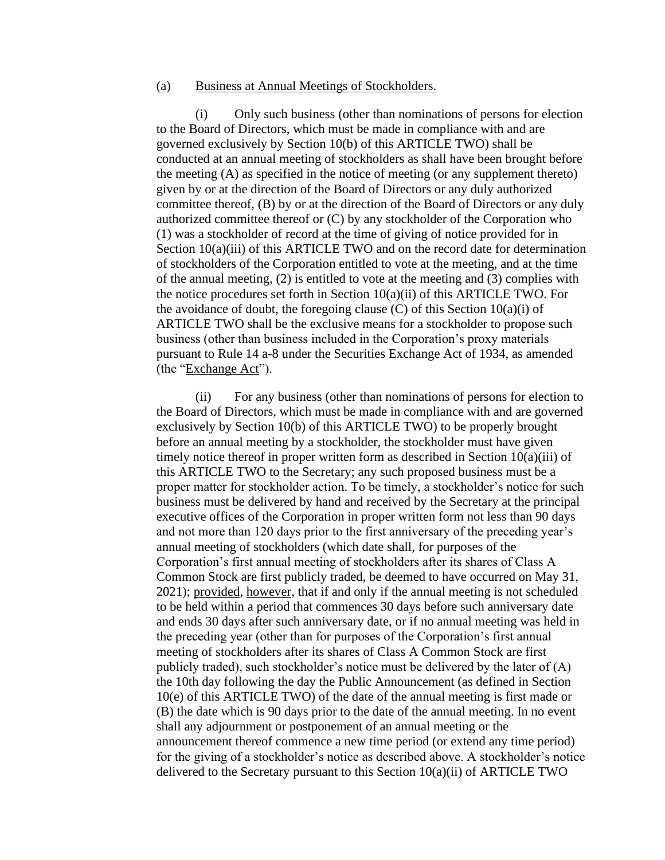#### (a) Business at Annual Meetings of Stockholders.

(i) Only such business (other than nominations of persons for election to the Board of Directors, which must be made in compliance with and are governed exclusively by Section 10(b) of this ARTICLE TWO) shall be conducted at an annual meeting of stockholders as shall have been brought before the meeting (A) as specified in the notice of meeting (or any supplement thereto) given by or at the direction of the Board of Directors or any duly authorized committee thereof, (B) by or at the direction of the Board of Directors or any duly authorized committee thereof or (C) by any stockholder of the Corporation who (1) was a stockholder of record at the time of giving of notice provided for in Section 10(a)(iii) of this ARTICLE TWO and on the record date for determination of stockholders of the Corporation entitled to vote at the meeting, and at the time of the annual meeting, (2) is entitled to vote at the meeting and (3) complies with the notice procedures set forth in Section  $10(a)(ii)$  of this ARTICLE TWO. For the avoidance of doubt, the foregoing clause  $(C)$  of this Section 10(a)(i) of ARTICLE TWO shall be the exclusive means for a stockholder to propose such business (other than business included in the Corporation's proxy materials pursuant to Rule 14 a-8 under the Securities Exchange Act of 1934, as amended (the "Exchange Act").

(ii) For any business (other than nominations of persons for election to the Board of Directors, which must be made in compliance with and are governed exclusively by Section 10(b) of this ARTICLE TWO) to be properly brought before an annual meeting by a stockholder, the stockholder must have given timely notice thereof in proper written form as described in Section 10(a)(iii) of this ARTICLE TWO to the Secretary; any such proposed business must be a proper matter for stockholder action. To be timely, a stockholder's notice for such business must be delivered by hand and received by the Secretary at the principal executive offices of the Corporation in proper written form not less than 90 days and not more than 120 days prior to the first anniversary of the preceding year's annual meeting of stockholders (which date shall, for purposes of the Corporation's first annual meeting of stockholders after its shares of Class A Common Stock are first publicly traded, be deemed to have occurred on May 31, 2021); provided, however, that if and only if the annual meeting is not scheduled to be held within a period that commences 30 days before such anniversary date and ends 30 days after such anniversary date, or if no annual meeting was held in the preceding year (other than for purposes of the Corporation's first annual meeting of stockholders after its shares of Class A Common Stock are first publicly traded), such stockholder's notice must be delivered by the later of  $(A)$ the 10th day following the day the Public Announcement (as defined in Section 10(e) of this ARTICLE TWO) of the date of the annual meeting is first made or (B) the date which is 90 days prior to the date of the annual meeting. In no event shall any adjournment or postponement of an annual meeting or the announcement thereof commence a new time period (or extend any time period) for the giving of a stockholder's notice as described above. A stockholder's notice delivered to the Secretary pursuant to this Section  $10(a)(ii)$  of ARTICLE TWO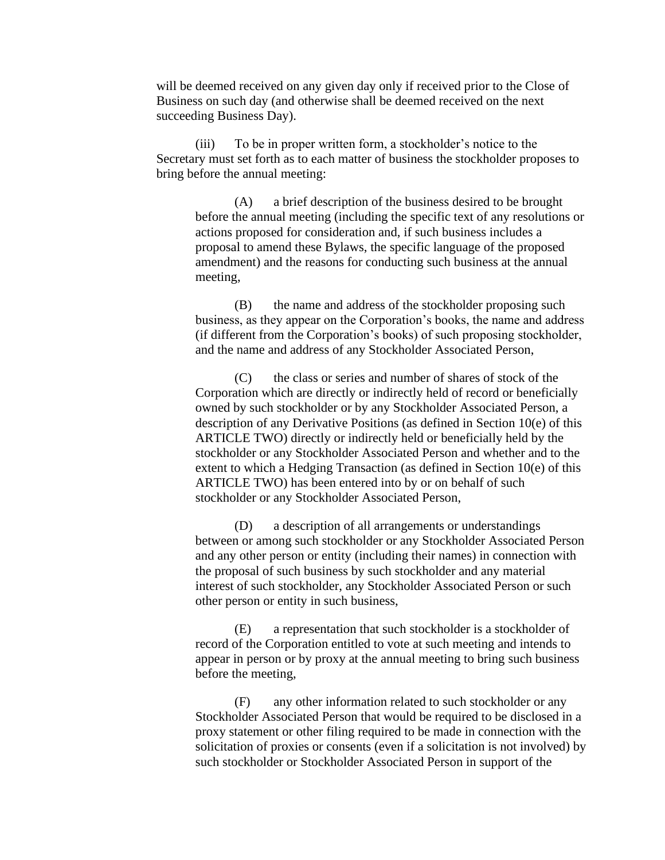will be deemed received on any given day only if received prior to the Close of Business on such day (and otherwise shall be deemed received on the next succeeding Business Day).

(iii) To be in proper written form, a stockholder's notice to the Secretary must set forth as to each matter of business the stockholder proposes to bring before the annual meeting:

(A) a brief description of the business desired to be brought before the annual meeting (including the specific text of any resolutions or actions proposed for consideration and, if such business includes a proposal to amend these Bylaws, the specific language of the proposed amendment) and the reasons for conducting such business at the annual meeting,

(B) the name and address of the stockholder proposing such business, as they appear on the Corporation's books, the name and address (if different from the Corporation's books) of such proposing stockholder, and the name and address of any Stockholder Associated Person,

(C) the class or series and number of shares of stock of the Corporation which are directly or indirectly held of record or beneficially owned by such stockholder or by any Stockholder Associated Person, a description of any Derivative Positions (as defined in Section 10(e) of this ARTICLE TWO) directly or indirectly held or beneficially held by the stockholder or any Stockholder Associated Person and whether and to the extent to which a Hedging Transaction (as defined in Section 10(e) of this ARTICLE TWO) has been entered into by or on behalf of such stockholder or any Stockholder Associated Person,

(D) a description of all arrangements or understandings between or among such stockholder or any Stockholder Associated Person and any other person or entity (including their names) in connection with the proposal of such business by such stockholder and any material interest of such stockholder, any Stockholder Associated Person or such other person or entity in such business,

(E) a representation that such stockholder is a stockholder of record of the Corporation entitled to vote at such meeting and intends to appear in person or by proxy at the annual meeting to bring such business before the meeting,

(F) any other information related to such stockholder or any Stockholder Associated Person that would be required to be disclosed in a proxy statement or other filing required to be made in connection with the solicitation of proxies or consents (even if a solicitation is not involved) by such stockholder or Stockholder Associated Person in support of the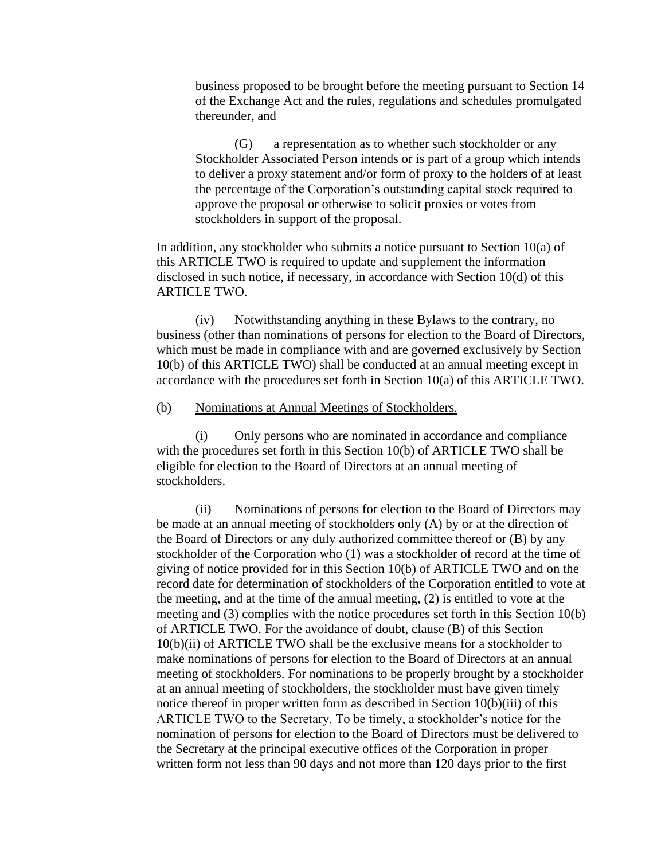business proposed to be brought before the meeting pursuant to Section 14 of the Exchange Act and the rules, regulations and schedules promulgated thereunder, and

(G) a representation as to whether such stockholder or any Stockholder Associated Person intends or is part of a group which intends to deliver a proxy statement and/or form of proxy to the holders of at least the percentage of the Corporation's outstanding capital stock required to approve the proposal or otherwise to solicit proxies or votes from stockholders in support of the proposal.

In addition, any stockholder who submits a notice pursuant to Section  $10(a)$  of this ARTICLE TWO is required to update and supplement the information disclosed in such notice, if necessary, in accordance with Section 10(d) of this ARTICLE TWO.

(iv) Notwithstanding anything in these Bylaws to the contrary, no business (other than nominations of persons for election to the Board of Directors, which must be made in compliance with and are governed exclusively by Section 10(b) of this ARTICLE TWO) shall be conducted at an annual meeting except in accordance with the procedures set forth in Section 10(a) of this ARTICLE TWO.

(b) Nominations at Annual Meetings of Stockholders.

(i) Only persons who are nominated in accordance and compliance with the procedures set forth in this Section 10(b) of ARTICLE TWO shall be eligible for election to the Board of Directors at an annual meeting of stockholders.

(ii) Nominations of persons for election to the Board of Directors may be made at an annual meeting of stockholders only (A) by or at the direction of the Board of Directors or any duly authorized committee thereof or (B) by any stockholder of the Corporation who (1) was a stockholder of record at the time of giving of notice provided for in this Section 10(b) of ARTICLE TWO and on the record date for determination of stockholders of the Corporation entitled to vote at the meeting, and at the time of the annual meeting, (2) is entitled to vote at the meeting and (3) complies with the notice procedures set forth in this Section 10(b) of ARTICLE TWO. For the avoidance of doubt, clause (B) of this Section 10(b)(ii) of ARTICLE TWO shall be the exclusive means for a stockholder to make nominations of persons for election to the Board of Directors at an annual meeting of stockholders. For nominations to be properly brought by a stockholder at an annual meeting of stockholders, the stockholder must have given timely notice thereof in proper written form as described in Section 10(b)(iii) of this ARTICLE TWO to the Secretary. To be timely, a stockholder's notice for the nomination of persons for election to the Board of Directors must be delivered to the Secretary at the principal executive offices of the Corporation in proper written form not less than 90 days and not more than 120 days prior to the first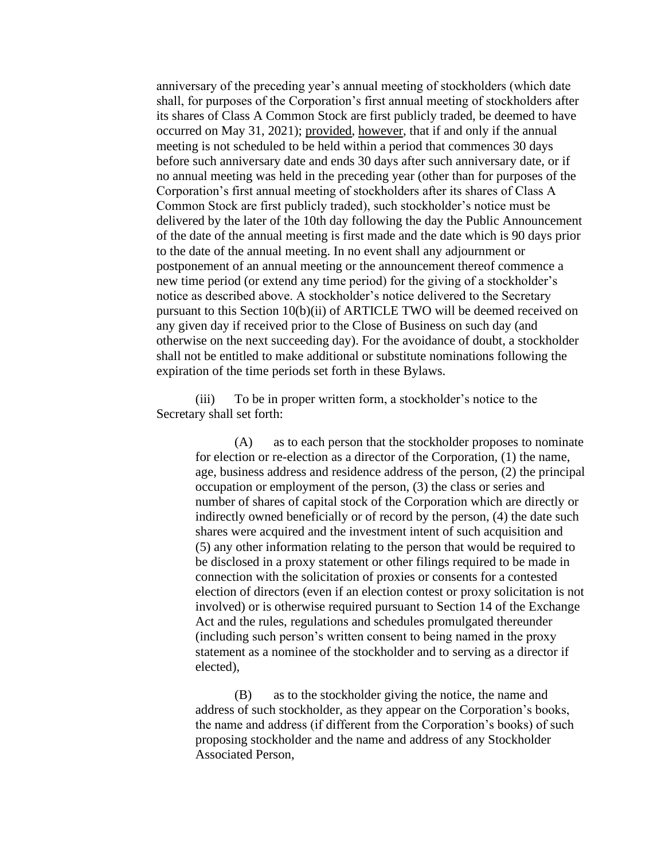anniversary of the preceding year's annual meeting of stockholders (which date shall, for purposes of the Corporation's first annual meeting of stockholders after its shares of Class A Common Stock are first publicly traded, be deemed to have occurred on May 31, 2021); provided, however, that if and only if the annual meeting is not scheduled to be held within a period that commences 30 days before such anniversary date and ends 30 days after such anniversary date, or if no annual meeting was held in the preceding year (other than for purposes of the Corporation's first annual meeting of stockholders after its shares of Class A Common Stock are first publicly traded), such stockholder's notice must be delivered by the later of the 10th day following the day the Public Announcement of the date of the annual meeting is first made and the date which is 90 days prior to the date of the annual meeting. In no event shall any adjournment or postponement of an annual meeting or the announcement thereof commence a new time period (or extend any time period) for the giving of a stockholder's notice as described above. A stockholder's notice delivered to the Secretary pursuant to this Section 10(b)(ii) of ARTICLE TWO will be deemed received on any given day if received prior to the Close of Business on such day (and otherwise on the next succeeding day). For the avoidance of doubt, a stockholder shall not be entitled to make additional or substitute nominations following the expiration of the time periods set forth in these Bylaws.

(iii) To be in proper written form, a stockholder's notice to the Secretary shall set forth:

> (A) as to each person that the stockholder proposes to nominate for election or re-election as a director of the Corporation, (1) the name, age, business address and residence address of the person, (2) the principal occupation or employment of the person, (3) the class or series and number of shares of capital stock of the Corporation which are directly or indirectly owned beneficially or of record by the person, (4) the date such shares were acquired and the investment intent of such acquisition and (5) any other information relating to the person that would be required to be disclosed in a proxy statement or other filings required to be made in connection with the solicitation of proxies or consents for a contested election of directors (even if an election contest or proxy solicitation is not involved) or is otherwise required pursuant to Section 14 of the Exchange Act and the rules, regulations and schedules promulgated thereunder (including such person's written consent to being named in the proxy statement as a nominee of the stockholder and to serving as a director if elected),

(B) as to the stockholder giving the notice, the name and address of such stockholder, as they appear on the Corporation's books, the name and address (if different from the Corporation's books) of such proposing stockholder and the name and address of any Stockholder Associated Person,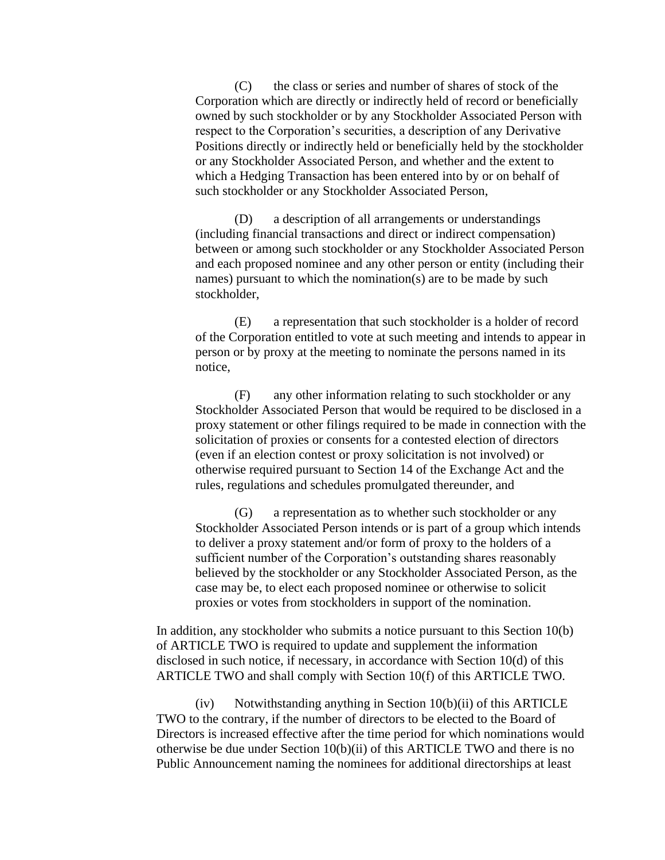(C) the class or series and number of shares of stock of the Corporation which are directly or indirectly held of record or beneficially owned by such stockholder or by any Stockholder Associated Person with respect to the Corporation's securities, a description of any Derivative Positions directly or indirectly held or beneficially held by the stockholder or any Stockholder Associated Person, and whether and the extent to which a Hedging Transaction has been entered into by or on behalf of such stockholder or any Stockholder Associated Person,

(D) a description of all arrangements or understandings (including financial transactions and direct or indirect compensation) between or among such stockholder or any Stockholder Associated Person and each proposed nominee and any other person or entity (including their names) pursuant to which the nomination(s) are to be made by such stockholder,

(E) a representation that such stockholder is a holder of record of the Corporation entitled to vote at such meeting and intends to appear in person or by proxy at the meeting to nominate the persons named in its notice,

(F) any other information relating to such stockholder or any Stockholder Associated Person that would be required to be disclosed in a proxy statement or other filings required to be made in connection with the solicitation of proxies or consents for a contested election of directors (even if an election contest or proxy solicitation is not involved) or otherwise required pursuant to Section 14 of the Exchange Act and the rules, regulations and schedules promulgated thereunder, and

(G) a representation as to whether such stockholder or any Stockholder Associated Person intends or is part of a group which intends to deliver a proxy statement and/or form of proxy to the holders of a sufficient number of the Corporation's outstanding shares reasonably believed by the stockholder or any Stockholder Associated Person, as the case may be, to elect each proposed nominee or otherwise to solicit proxies or votes from stockholders in support of the nomination.

In addition, any stockholder who submits a notice pursuant to this Section 10(b) of ARTICLE TWO is required to update and supplement the information disclosed in such notice, if necessary, in accordance with Section 10(d) of this ARTICLE TWO and shall comply with Section 10(f) of this ARTICLE TWO.

 $(iv)$  Notwithstanding anything in Section 10(b)(ii) of this ARTICLE TWO to the contrary, if the number of directors to be elected to the Board of Directors is increased effective after the time period for which nominations would otherwise be due under Section  $10(b)(ii)$  of this ARTICLE TWO and there is no Public Announcement naming the nominees for additional directorships at least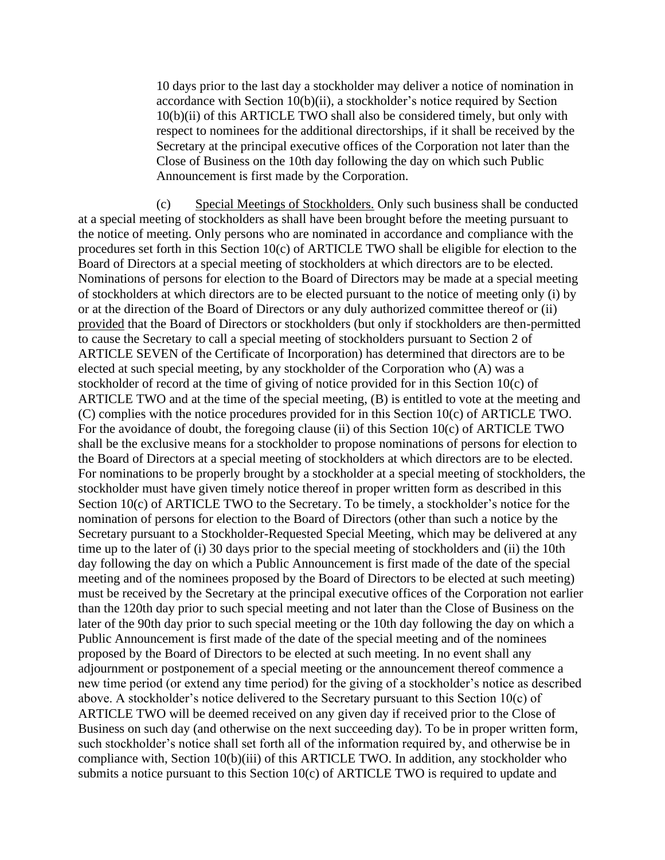10 days prior to the last day a stockholder may deliver a notice of nomination in accordance with Section 10(b)(ii), a stockholder's notice required by Section 10(b)(ii) of this ARTICLE TWO shall also be considered timely, but only with respect to nominees for the additional directorships, if it shall be received by the Secretary at the principal executive offices of the Corporation not later than the Close of Business on the 10th day following the day on which such Public Announcement is first made by the Corporation.

(c) Special Meetings of Stockholders. Only such business shall be conducted at a special meeting of stockholders as shall have been brought before the meeting pursuant to the notice of meeting. Only persons who are nominated in accordance and compliance with the procedures set forth in this Section 10(c) of ARTICLE TWO shall be eligible for election to the Board of Directors at a special meeting of stockholders at which directors are to be elected. Nominations of persons for election to the Board of Directors may be made at a special meeting of stockholders at which directors are to be elected pursuant to the notice of meeting only (i) by or at the direction of the Board of Directors or any duly authorized committee thereof or (ii) provided that the Board of Directors or stockholders (but only if stockholders are then-permitted to cause the Secretary to call a special meeting of stockholders pursuant to Section 2 of ARTICLE SEVEN of the Certificate of Incorporation) has determined that directors are to be elected at such special meeting, by any stockholder of the Corporation who (A) was a stockholder of record at the time of giving of notice provided for in this Section 10(c) of ARTICLE TWO and at the time of the special meeting, (B) is entitled to vote at the meeting and (C) complies with the notice procedures provided for in this Section 10(c) of ARTICLE TWO. For the avoidance of doubt, the foregoing clause (ii) of this Section 10(c) of ARTICLE TWO shall be the exclusive means for a stockholder to propose nominations of persons for election to the Board of Directors at a special meeting of stockholders at which directors are to be elected. For nominations to be properly brought by a stockholder at a special meeting of stockholders, the stockholder must have given timely notice thereof in proper written form as described in this Section 10(c) of ARTICLE TWO to the Secretary. To be timely, a stockholder's notice for the nomination of persons for election to the Board of Directors (other than such a notice by the Secretary pursuant to a Stockholder-Requested Special Meeting, which may be delivered at any time up to the later of (i) 30 days prior to the special meeting of stockholders and (ii) the 10th day following the day on which a Public Announcement is first made of the date of the special meeting and of the nominees proposed by the Board of Directors to be elected at such meeting) must be received by the Secretary at the principal executive offices of the Corporation not earlier than the 120th day prior to such special meeting and not later than the Close of Business on the later of the 90th day prior to such special meeting or the 10th day following the day on which a Public Announcement is first made of the date of the special meeting and of the nominees proposed by the Board of Directors to be elected at such meeting. In no event shall any adjournment or postponement of a special meeting or the announcement thereof commence a new time period (or extend any time period) for the giving of a stockholder's notice as described above. A stockholder's notice delivered to the Secretary pursuant to this Section 10(c) of ARTICLE TWO will be deemed received on any given day if received prior to the Close of Business on such day (and otherwise on the next succeeding day). To be in proper written form, such stockholder's notice shall set forth all of the information required by, and otherwise be in compliance with, Section 10(b)(iii) of this ARTICLE TWO. In addition, any stockholder who submits a notice pursuant to this Section 10(c) of ARTICLE TWO is required to update and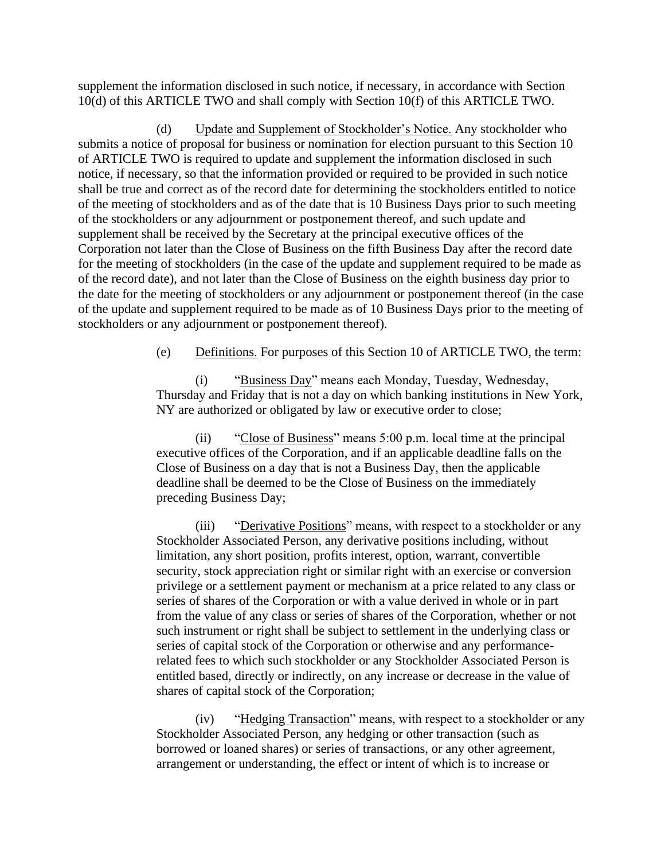supplement the information disclosed in such notice, if necessary, in accordance with Section 10(d) of this ARTICLE TWO and shall comply with Section 10(f) of this ARTICLE TWO.

(d) Update and Supplement of Stockholder's Notice. Any stockholder who submits a notice of proposal for business or nomination for election pursuant to this Section 10 of ARTICLE TWO is required to update and supplement the information disclosed in such notice, if necessary, so that the information provided or required to be provided in such notice shall be true and correct as of the record date for determining the stockholders entitled to notice of the meeting of stockholders and as of the date that is 10 Business Days prior to such meeting of the stockholders or any adjournment or postponement thereof, and such update and supplement shall be received by the Secretary at the principal executive offices of the Corporation not later than the Close of Business on the fifth Business Day after the record date for the meeting of stockholders (in the case of the update and supplement required to be made as of the record date), and not later than the Close of Business on the eighth business day prior to the date for the meeting of stockholders or any adjournment or postponement thereof (in the case of the update and supplement required to be made as of 10 Business Days prior to the meeting of stockholders or any adjournment or postponement thereof).

(e) Definitions. For purposes of this Section 10 of ARTICLE TWO, the term:

(i) "Business Day" means each Monday, Tuesday, Wednesday, Thursday and Friday that is not a day on which banking institutions in New York, NY are authorized or obligated by law or executive order to close;

(ii) "Close of Business" means 5:00 p.m. local time at the principal executive offices of the Corporation, and if an applicable deadline falls on the Close of Business on a day that is not a Business Day, then the applicable deadline shall be deemed to be the Close of Business on the immediately preceding Business Day;

(iii) "Derivative Positions" means, with respect to a stockholder or any Stockholder Associated Person, any derivative positions including, without limitation, any short position, profits interest, option, warrant, convertible security, stock appreciation right or similar right with an exercise or conversion privilege or a settlement payment or mechanism at a price related to any class or series of shares of the Corporation or with a value derived in whole or in part from the value of any class or series of shares of the Corporation, whether or not such instrument or right shall be subject to settlement in the underlying class or series of capital stock of the Corporation or otherwise and any performancerelated fees to which such stockholder or any Stockholder Associated Person is entitled based, directly or indirectly, on any increase or decrease in the value of shares of capital stock of the Corporation;

(iv) "Hedging Transaction" means, with respect to a stockholder or any Stockholder Associated Person, any hedging or other transaction (such as borrowed or loaned shares) or series of transactions, or any other agreement, arrangement or understanding, the effect or intent of which is to increase or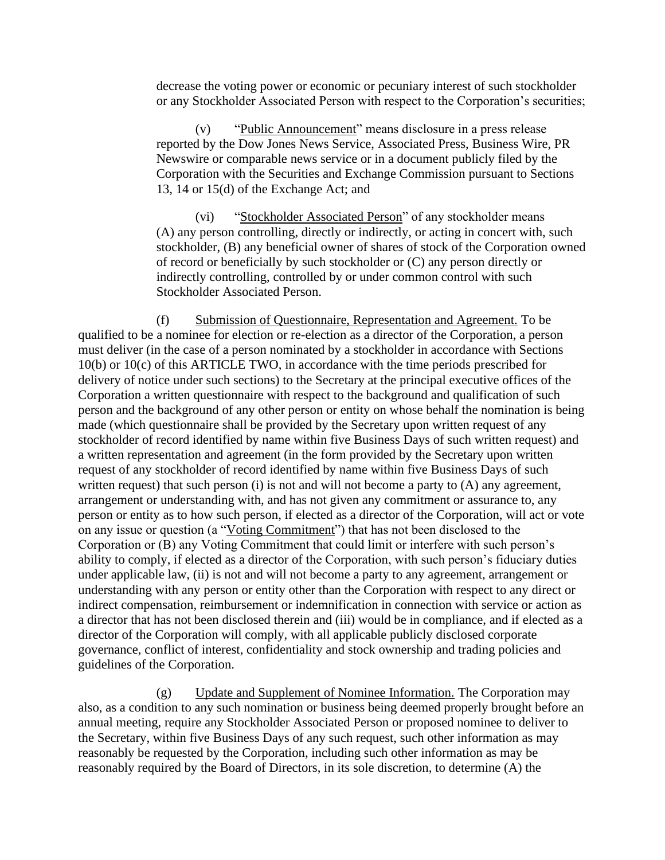decrease the voting power or economic or pecuniary interest of such stockholder or any Stockholder Associated Person with respect to the Corporation's securities;

(v) "Public Announcement" means disclosure in a press release reported by the Dow Jones News Service, Associated Press, Business Wire, PR Newswire or comparable news service or in a document publicly filed by the Corporation with the Securities and Exchange Commission pursuant to Sections 13, 14 or 15(d) of the Exchange Act; and

(vi) "Stockholder Associated Person" of any stockholder means (A) any person controlling, directly or indirectly, or acting in concert with, such stockholder, (B) any beneficial owner of shares of stock of the Corporation owned of record or beneficially by such stockholder or (C) any person directly or indirectly controlling, controlled by or under common control with such Stockholder Associated Person.

(f) Submission of Questionnaire, Representation and Agreement. To be qualified to be a nominee for election or re-election as a director of the Corporation, a person must deliver (in the case of a person nominated by a stockholder in accordance with Sections 10(b) or 10(c) of this ARTICLE TWO, in accordance with the time periods prescribed for delivery of notice under such sections) to the Secretary at the principal executive offices of the Corporation a written questionnaire with respect to the background and qualification of such person and the background of any other person or entity on whose behalf the nomination is being made (which questionnaire shall be provided by the Secretary upon written request of any stockholder of record identified by name within five Business Days of such written request) and a written representation and agreement (in the form provided by the Secretary upon written request of any stockholder of record identified by name within five Business Days of such written request) that such person  $(i)$  is not and will not become a party to  $(A)$  any agreement, arrangement or understanding with, and has not given any commitment or assurance to, any person or entity as to how such person, if elected as a director of the Corporation, will act or vote on any issue or question (a "Voting Commitment") that has not been disclosed to the Corporation or (B) any Voting Commitment that could limit or interfere with such person's ability to comply, if elected as a director of the Corporation, with such person's fiduciary duties under applicable law, (ii) is not and will not become a party to any agreement, arrangement or understanding with any person or entity other than the Corporation with respect to any direct or indirect compensation, reimbursement or indemnification in connection with service or action as a director that has not been disclosed therein and (iii) would be in compliance, and if elected as a director of the Corporation will comply, with all applicable publicly disclosed corporate governance, conflict of interest, confidentiality and stock ownership and trading policies and guidelines of the Corporation.

(g) Update and Supplement of Nominee Information. The Corporation may also, as a condition to any such nomination or business being deemed properly brought before an annual meeting, require any Stockholder Associated Person or proposed nominee to deliver to the Secretary, within five Business Days of any such request, such other information as may reasonably be requested by the Corporation, including such other information as may be reasonably required by the Board of Directors, in its sole discretion, to determine (A) the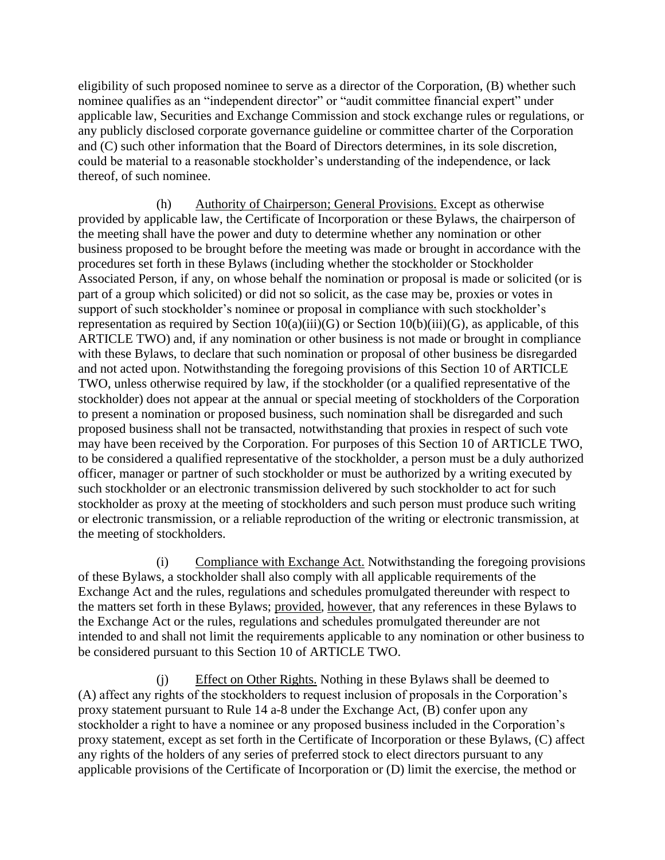eligibility of such proposed nominee to serve as a director of the Corporation, (B) whether such nominee qualifies as an "independent director" or "audit committee financial expert" under applicable law, Securities and Exchange Commission and stock exchange rules or regulations, or any publicly disclosed corporate governance guideline or committee charter of the Corporation and (C) such other information that the Board of Directors determines, in its sole discretion, could be material to a reasonable stockholder's understanding of the independence, or lack thereof, of such nominee.

(h) Authority of Chairperson; General Provisions. Except as otherwise provided by applicable law, the Certificate of Incorporation or these Bylaws, the chairperson of the meeting shall have the power and duty to determine whether any nomination or other business proposed to be brought before the meeting was made or brought in accordance with the procedures set forth in these Bylaws (including whether the stockholder or Stockholder Associated Person, if any, on whose behalf the nomination or proposal is made or solicited (or is part of a group which solicited) or did not so solicit, as the case may be, proxies or votes in support of such stockholder's nominee or proposal in compliance with such stockholder's representation as required by Section  $10(a)(iii)(G)$  or Section  $10(b)(iii)(G)$ , as applicable, of this ARTICLE TWO) and, if any nomination or other business is not made or brought in compliance with these Bylaws, to declare that such nomination or proposal of other business be disregarded and not acted upon. Notwithstanding the foregoing provisions of this Section 10 of ARTICLE TWO, unless otherwise required by law, if the stockholder (or a qualified representative of the stockholder) does not appear at the annual or special meeting of stockholders of the Corporation to present a nomination or proposed business, such nomination shall be disregarded and such proposed business shall not be transacted, notwithstanding that proxies in respect of such vote may have been received by the Corporation. For purposes of this Section 10 of ARTICLE TWO, to be considered a qualified representative of the stockholder, a person must be a duly authorized officer, manager or partner of such stockholder or must be authorized by a writing executed by such stockholder or an electronic transmission delivered by such stockholder to act for such stockholder as proxy at the meeting of stockholders and such person must produce such writing or electronic transmission, or a reliable reproduction of the writing or electronic transmission, at the meeting of stockholders.

(i) Compliance with Exchange Act. Notwithstanding the foregoing provisions of these Bylaws, a stockholder shall also comply with all applicable requirements of the Exchange Act and the rules, regulations and schedules promulgated thereunder with respect to the matters set forth in these Bylaws; provided, however, that any references in these Bylaws to the Exchange Act or the rules, regulations and schedules promulgated thereunder are not intended to and shall not limit the requirements applicable to any nomination or other business to be considered pursuant to this Section 10 of ARTICLE TWO.

(j) Effect on Other Rights. Nothing in these Bylaws shall be deemed to (A) affect any rights of the stockholders to request inclusion of proposals in the Corporation's proxy statement pursuant to Rule 14 a-8 under the Exchange Act, (B) confer upon any stockholder a right to have a nominee or any proposed business included in the Corporation's proxy statement, except as set forth in the Certificate of Incorporation or these Bylaws, (C) affect any rights of the holders of any series of preferred stock to elect directors pursuant to any applicable provisions of the Certificate of Incorporation or (D) limit the exercise, the method or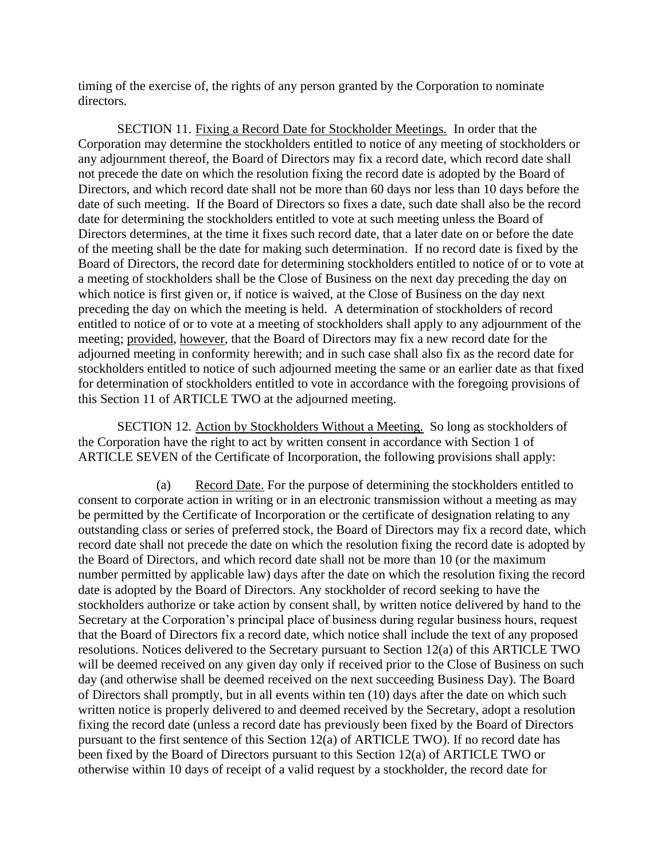timing of the exercise of, the rights of any person granted by the Corporation to nominate directors.

SECTION 11. Fixing a Record Date for Stockholder Meetings. In order that the Corporation may determine the stockholders entitled to notice of any meeting of stockholders or any adjournment thereof, the Board of Directors may fix a record date, which record date shall not precede the date on which the resolution fixing the record date is adopted by the Board of Directors, and which record date shall not be more than 60 days nor less than 10 days before the date of such meeting. If the Board of Directors so fixes a date, such date shall also be the record date for determining the stockholders entitled to vote at such meeting unless the Board of Directors determines, at the time it fixes such record date, that a later date on or before the date of the meeting shall be the date for making such determination. If no record date is fixed by the Board of Directors, the record date for determining stockholders entitled to notice of or to vote at a meeting of stockholders shall be the Close of Business on the next day preceding the day on which notice is first given or, if notice is waived, at the Close of Business on the day next preceding the day on which the meeting is held. A determination of stockholders of record entitled to notice of or to vote at a meeting of stockholders shall apply to any adjournment of the meeting; provided, however, that the Board of Directors may fix a new record date for the adjourned meeting in conformity herewith; and in such case shall also fix as the record date for stockholders entitled to notice of such adjourned meeting the same or an earlier date as that fixed for determination of stockholders entitled to vote in accordance with the foregoing provisions of this Section 11 of ARTICLE TWO at the adjourned meeting.

SECTION 12. Action by Stockholders Without a Meeting. So long as stockholders of the Corporation have the right to act by written consent in accordance with Section 1 of ARTICLE SEVEN of the Certificate of Incorporation, the following provisions shall apply:

(a) Record Date. For the purpose of determining the stockholders entitled to consent to corporate action in writing or in an electronic transmission without a meeting as may be permitted by the Certificate of Incorporation or the certificate of designation relating to any outstanding class or series of preferred stock, the Board of Directors may fix a record date, which record date shall not precede the date on which the resolution fixing the record date is adopted by the Board of Directors, and which record date shall not be more than 10 (or the maximum number permitted by applicable law) days after the date on which the resolution fixing the record date is adopted by the Board of Directors. Any stockholder of record seeking to have the stockholders authorize or take action by consent shall, by written notice delivered by hand to the Secretary at the Corporation's principal place of business during regular business hours, request that the Board of Directors fix a record date, which notice shall include the text of any proposed resolutions. Notices delivered to the Secretary pursuant to Section 12(a) of this ARTICLE TWO will be deemed received on any given day only if received prior to the Close of Business on such day (and otherwise shall be deemed received on the next succeeding Business Day). The Board of Directors shall promptly, but in all events within ten (10) days after the date on which such written notice is properly delivered to and deemed received by the Secretary, adopt a resolution fixing the record date (unless a record date has previously been fixed by the Board of Directors pursuant to the first sentence of this Section 12(a) of ARTICLE TWO). If no record date has been fixed by the Board of Directors pursuant to this Section 12(a) of ARTICLE TWO or otherwise within 10 days of receipt of a valid request by a stockholder, the record date for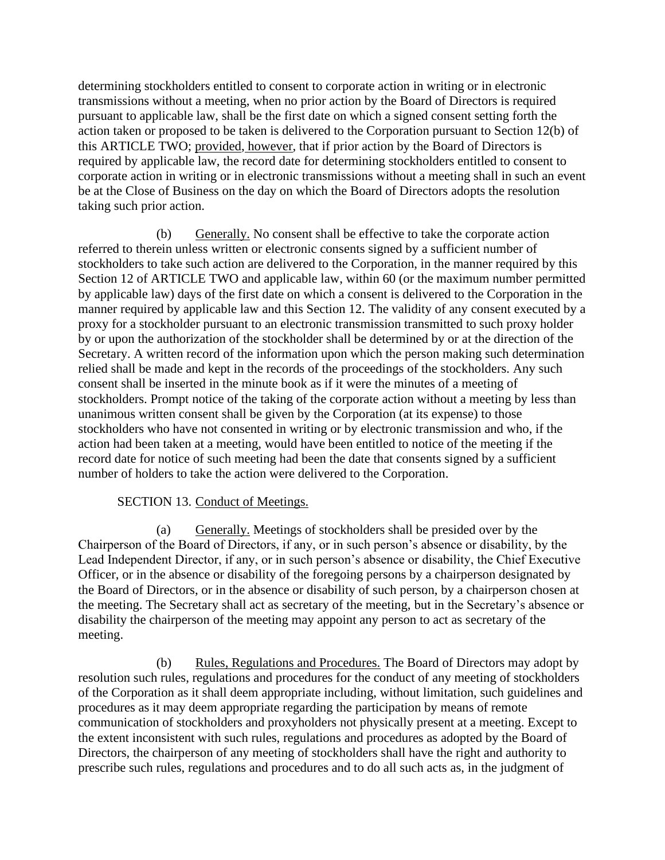determining stockholders entitled to consent to corporate action in writing or in electronic transmissions without a meeting, when no prior action by the Board of Directors is required pursuant to applicable law, shall be the first date on which a signed consent setting forth the action taken or proposed to be taken is delivered to the Corporation pursuant to Section 12(b) of this ARTICLE TWO; provided, however, that if prior action by the Board of Directors is required by applicable law, the record date for determining stockholders entitled to consent to corporate action in writing or in electronic transmissions without a meeting shall in such an event be at the Close of Business on the day on which the Board of Directors adopts the resolution taking such prior action.

(b) Generally. No consent shall be effective to take the corporate action referred to therein unless written or electronic consents signed by a sufficient number of stockholders to take such action are delivered to the Corporation, in the manner required by this Section 12 of ARTICLE TWO and applicable law, within 60 (or the maximum number permitted by applicable law) days of the first date on which a consent is delivered to the Corporation in the manner required by applicable law and this Section 12. The validity of any consent executed by a proxy for a stockholder pursuant to an electronic transmission transmitted to such proxy holder by or upon the authorization of the stockholder shall be determined by or at the direction of the Secretary. A written record of the information upon which the person making such determination relied shall be made and kept in the records of the proceedings of the stockholders. Any such consent shall be inserted in the minute book as if it were the minutes of a meeting of stockholders. Prompt notice of the taking of the corporate action without a meeting by less than unanimous written consent shall be given by the Corporation (at its expense) to those stockholders who have not consented in writing or by electronic transmission and who, if the action had been taken at a meeting, would have been entitled to notice of the meeting if the record date for notice of such meeting had been the date that consents signed by a sufficient number of holders to take the action were delivered to the Corporation.

# SECTION 13. Conduct of Meetings.

(a) Generally. Meetings of stockholders shall be presided over by the Chairperson of the Board of Directors, if any, or in such person's absence or disability, by the Lead Independent Director, if any, or in such person's absence or disability, the Chief Executive Officer, or in the absence or disability of the foregoing persons by a chairperson designated by the Board of Directors, or in the absence or disability of such person, by a chairperson chosen at the meeting. The Secretary shall act as secretary of the meeting, but in the Secretary's absence or disability the chairperson of the meeting may appoint any person to act as secretary of the meeting.

(b) Rules, Regulations and Procedures. The Board of Directors may adopt by resolution such rules, regulations and procedures for the conduct of any meeting of stockholders of the Corporation as it shall deem appropriate including, without limitation, such guidelines and procedures as it may deem appropriate regarding the participation by means of remote communication of stockholders and proxyholders not physically present at a meeting. Except to the extent inconsistent with such rules, regulations and procedures as adopted by the Board of Directors, the chairperson of any meeting of stockholders shall have the right and authority to prescribe such rules, regulations and procedures and to do all such acts as, in the judgment of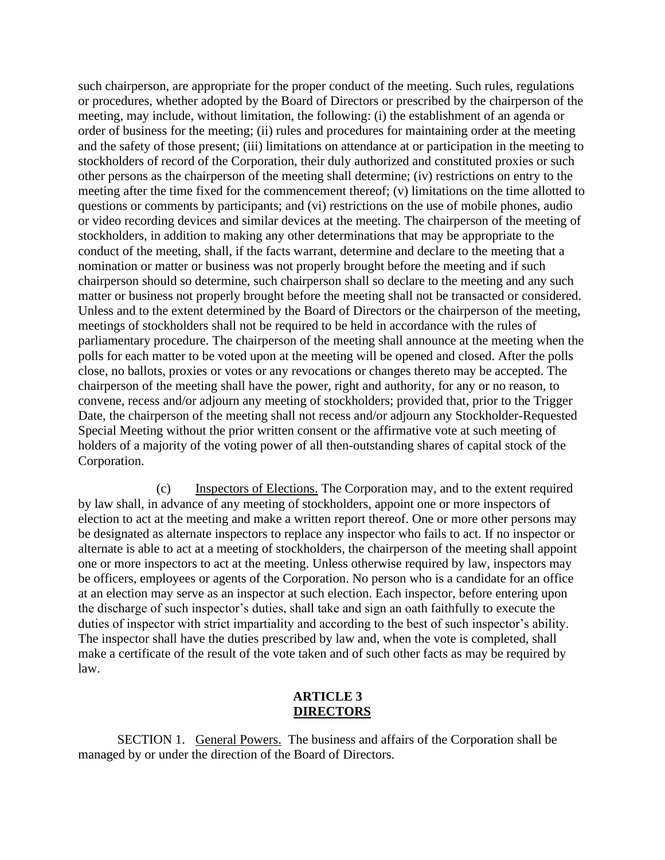such chairperson, are appropriate for the proper conduct of the meeting. Such rules, regulations or procedures, whether adopted by the Board of Directors or prescribed by the chairperson of the meeting, may include, without limitation, the following: (i) the establishment of an agenda or order of business for the meeting; (ii) rules and procedures for maintaining order at the meeting and the safety of those present; (iii) limitations on attendance at or participation in the meeting to stockholders of record of the Corporation, their duly authorized and constituted proxies or such other persons as the chairperson of the meeting shall determine; (iv) restrictions on entry to the meeting after the time fixed for the commencement thereof; (v) limitations on the time allotted to questions or comments by participants; and (vi) restrictions on the use of mobile phones, audio or video recording devices and similar devices at the meeting. The chairperson of the meeting of stockholders, in addition to making any other determinations that may be appropriate to the conduct of the meeting, shall, if the facts warrant, determine and declare to the meeting that a nomination or matter or business was not properly brought before the meeting and if such chairperson should so determine, such chairperson shall so declare to the meeting and any such matter or business not properly brought before the meeting shall not be transacted or considered. Unless and to the extent determined by the Board of Directors or the chairperson of the meeting, meetings of stockholders shall not be required to be held in accordance with the rules of parliamentary procedure. The chairperson of the meeting shall announce at the meeting when the polls for each matter to be voted upon at the meeting will be opened and closed. After the polls close, no ballots, proxies or votes or any revocations or changes thereto may be accepted. The chairperson of the meeting shall have the power, right and authority, for any or no reason, to convene, recess and/or adjourn any meeting of stockholders; provided that, prior to the Trigger Date, the chairperson of the meeting shall not recess and/or adjourn any Stockholder-Requested Special Meeting without the prior written consent or the affirmative vote at such meeting of holders of a majority of the voting power of all then-outstanding shares of capital stock of the Corporation.

(c) Inspectors of Elections. The Corporation may, and to the extent required by law shall, in advance of any meeting of stockholders, appoint one or more inspectors of election to act at the meeting and make a written report thereof. One or more other persons may be designated as alternate inspectors to replace any inspector who fails to act. If no inspector or alternate is able to act at a meeting of stockholders, the chairperson of the meeting shall appoint one or more inspectors to act at the meeting. Unless otherwise required by law, inspectors may be officers, employees or agents of the Corporation. No person who is a candidate for an office at an election may serve as an inspector at such election. Each inspector, before entering upon the discharge of such inspector's duties, shall take and sign an oath faithfully to execute the duties of inspector with strict impartiality and according to the best of such inspector's ability. The inspector shall have the duties prescribed by law and, when the vote is completed, shall make a certificate of the result of the vote taken and of such other facts as may be required by law.

#### **ARTICLE 3 DIRECTORS**

SECTION 1. General Powers. The business and affairs of the Corporation shall be managed by or under the direction of the Board of Directors.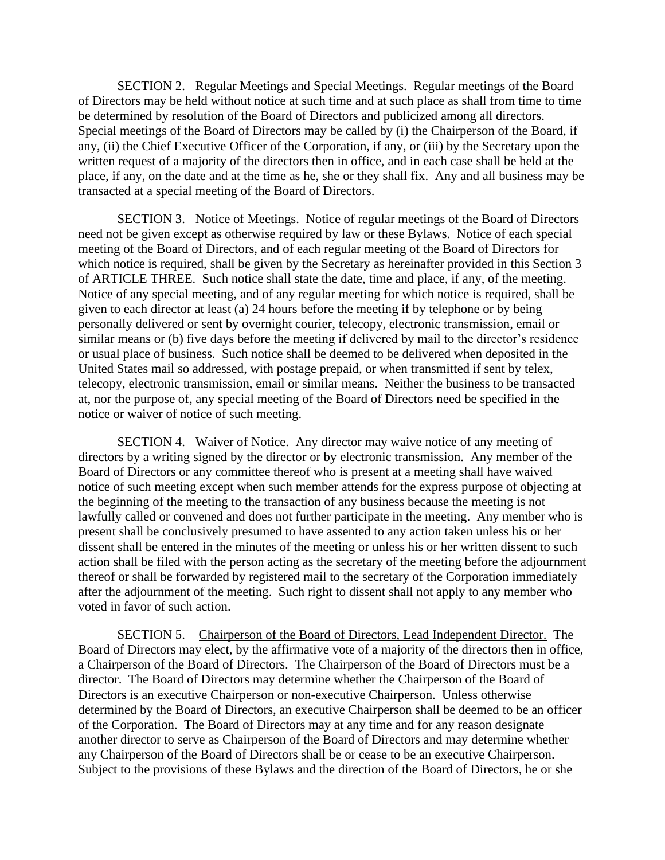SECTION 2. Regular Meetings and Special Meetings. Regular meetings of the Board of Directors may be held without notice at such time and at such place as shall from time to time be determined by resolution of the Board of Directors and publicized among all directors. Special meetings of the Board of Directors may be called by (i) the Chairperson of the Board, if any, (ii) the Chief Executive Officer of the Corporation, if any, or (iii) by the Secretary upon the written request of a majority of the directors then in office, and in each case shall be held at the place, if any, on the date and at the time as he, she or they shall fix. Any and all business may be transacted at a special meeting of the Board of Directors.

SECTION 3. Notice of Meetings. Notice of regular meetings of the Board of Directors need not be given except as otherwise required by law or these Bylaws. Notice of each special meeting of the Board of Directors, and of each regular meeting of the Board of Directors for which notice is required, shall be given by the Secretary as hereinafter provided in this Section 3 of ARTICLE THREE. Such notice shall state the date, time and place, if any, of the meeting. Notice of any special meeting, and of any regular meeting for which notice is required, shall be given to each director at least (a) 24 hours before the meeting if by telephone or by being personally delivered or sent by overnight courier, telecopy, electronic transmission, email or similar means or (b) five days before the meeting if delivered by mail to the director's residence or usual place of business. Such notice shall be deemed to be delivered when deposited in the United States mail so addressed, with postage prepaid, or when transmitted if sent by telex, telecopy, electronic transmission, email or similar means. Neither the business to be transacted at, nor the purpose of, any special meeting of the Board of Directors need be specified in the notice or waiver of notice of such meeting.

SECTION 4. Waiver of Notice. Any director may waive notice of any meeting of directors by a writing signed by the director or by electronic transmission. Any member of the Board of Directors or any committee thereof who is present at a meeting shall have waived notice of such meeting except when such member attends for the express purpose of objecting at the beginning of the meeting to the transaction of any business because the meeting is not lawfully called or convened and does not further participate in the meeting. Any member who is present shall be conclusively presumed to have assented to any action taken unless his or her dissent shall be entered in the minutes of the meeting or unless his or her written dissent to such action shall be filed with the person acting as the secretary of the meeting before the adjournment thereof or shall be forwarded by registered mail to the secretary of the Corporation immediately after the adjournment of the meeting. Such right to dissent shall not apply to any member who voted in favor of such action.

SECTION 5. Chairperson of the Board of Directors, Lead Independent Director. The Board of Directors may elect, by the affirmative vote of a majority of the directors then in office, a Chairperson of the Board of Directors. The Chairperson of the Board of Directors must be a director. The Board of Directors may determine whether the Chairperson of the Board of Directors is an executive Chairperson or non-executive Chairperson. Unless otherwise determined by the Board of Directors, an executive Chairperson shall be deemed to be an officer of the Corporation. The Board of Directors may at any time and for any reason designate another director to serve as Chairperson of the Board of Directors and may determine whether any Chairperson of the Board of Directors shall be or cease to be an executive Chairperson. Subject to the provisions of these Bylaws and the direction of the Board of Directors, he or she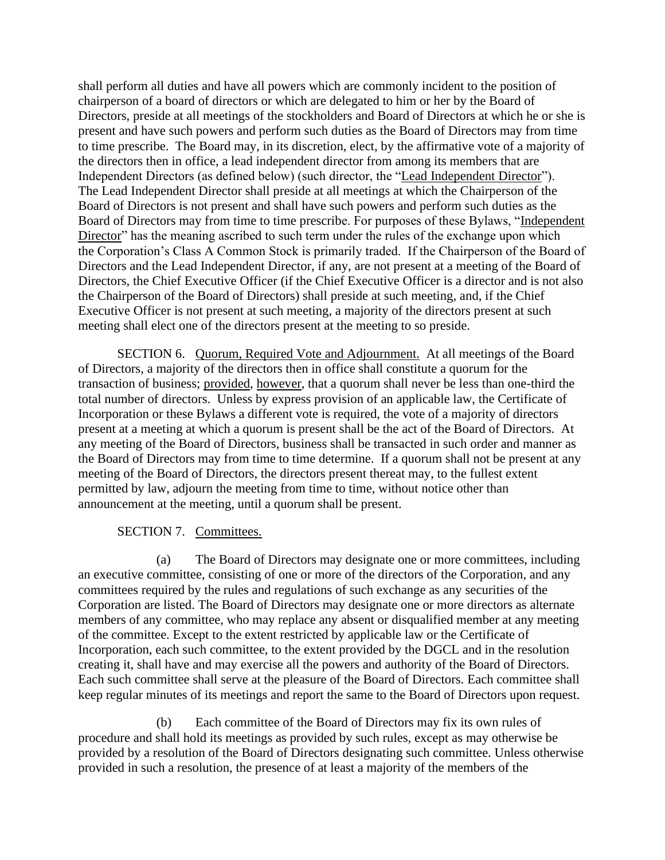shall perform all duties and have all powers which are commonly incident to the position of chairperson of a board of directors or which are delegated to him or her by the Board of Directors, preside at all meetings of the stockholders and Board of Directors at which he or she is present and have such powers and perform such duties as the Board of Directors may from time to time prescribe. The Board may, in its discretion, elect, by the affirmative vote of a majority of the directors then in office, a lead independent director from among its members that are Independent Directors (as defined below) (such director, the "Lead Independent Director"). The Lead Independent Director shall preside at all meetings at which the Chairperson of the Board of Directors is not present and shall have such powers and perform such duties as the Board of Directors may from time to time prescribe. For purposes of these Bylaws, "Independent Director" has the meaning ascribed to such term under the rules of the exchange upon which the Corporation's Class A Common Stock is primarily traded. If the Chairperson of the Board of Directors and the Lead Independent Director, if any, are not present at a meeting of the Board of Directors, the Chief Executive Officer (if the Chief Executive Officer is a director and is not also the Chairperson of the Board of Directors) shall preside at such meeting, and, if the Chief Executive Officer is not present at such meeting, a majority of the directors present at such meeting shall elect one of the directors present at the meeting to so preside.

SECTION 6. Quorum, Required Vote and Adjournment. At all meetings of the Board of Directors, a majority of the directors then in office shall constitute a quorum for the transaction of business; provided, however, that a quorum shall never be less than one-third the total number of directors. Unless by express provision of an applicable law, the Certificate of Incorporation or these Bylaws a different vote is required, the vote of a majority of directors present at a meeting at which a quorum is present shall be the act of the Board of Directors. At any meeting of the Board of Directors, business shall be transacted in such order and manner as the Board of Directors may from time to time determine. If a quorum shall not be present at any meeting of the Board of Directors, the directors present thereat may, to the fullest extent permitted by law, adjourn the meeting from time to time, without notice other than announcement at the meeting, until a quorum shall be present.

## SECTION 7. Committees.

(a) The Board of Directors may designate one or more committees, including an executive committee, consisting of one or more of the directors of the Corporation, and any committees required by the rules and regulations of such exchange as any securities of the Corporation are listed. The Board of Directors may designate one or more directors as alternate members of any committee, who may replace any absent or disqualified member at any meeting of the committee. Except to the extent restricted by applicable law or the Certificate of Incorporation, each such committee, to the extent provided by the DGCL and in the resolution creating it, shall have and may exercise all the powers and authority of the Board of Directors. Each such committee shall serve at the pleasure of the Board of Directors. Each committee shall keep regular minutes of its meetings and report the same to the Board of Directors upon request.

(b) Each committee of the Board of Directors may fix its own rules of procedure and shall hold its meetings as provided by such rules, except as may otherwise be provided by a resolution of the Board of Directors designating such committee. Unless otherwise provided in such a resolution, the presence of at least a majority of the members of the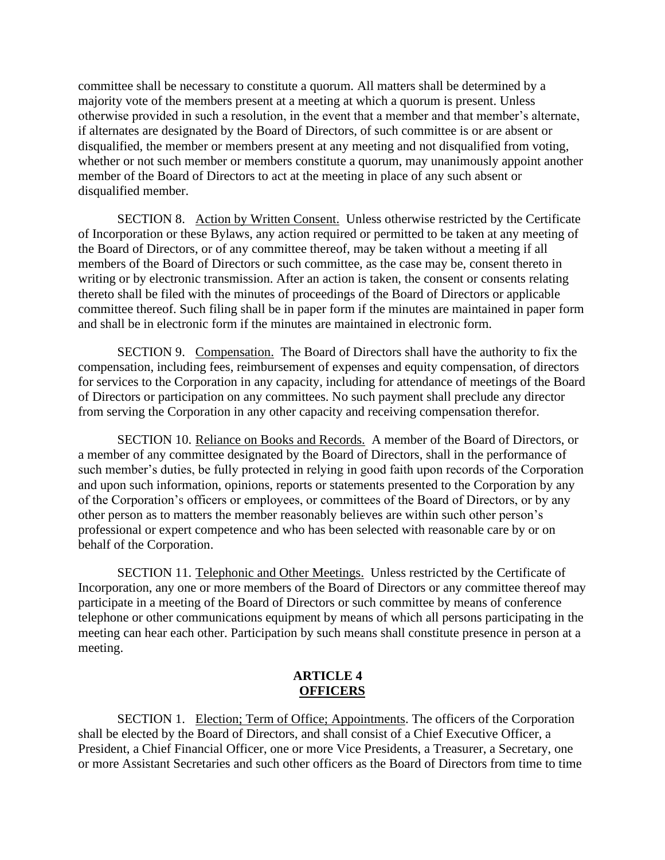committee shall be necessary to constitute a quorum. All matters shall be determined by a majority vote of the members present at a meeting at which a quorum is present. Unless otherwise provided in such a resolution, in the event that a member and that member's alternate, if alternates are designated by the Board of Directors, of such committee is or are absent or disqualified, the member or members present at any meeting and not disqualified from voting, whether or not such member or members constitute a quorum, may unanimously appoint another member of the Board of Directors to act at the meeting in place of any such absent or disqualified member.

SECTION 8. Action by Written Consent. Unless otherwise restricted by the Certificate of Incorporation or these Bylaws, any action required or permitted to be taken at any meeting of the Board of Directors, or of any committee thereof, may be taken without a meeting if all members of the Board of Directors or such committee, as the case may be, consent thereto in writing or by electronic transmission. After an action is taken, the consent or consents relating thereto shall be filed with the minutes of proceedings of the Board of Directors or applicable committee thereof. Such filing shall be in paper form if the minutes are maintained in paper form and shall be in electronic form if the minutes are maintained in electronic form.

SECTION 9. Compensation. The Board of Directors shall have the authority to fix the compensation, including fees, reimbursement of expenses and equity compensation, of directors for services to the Corporation in any capacity, including for attendance of meetings of the Board of Directors or participation on any committees. No such payment shall preclude any director from serving the Corporation in any other capacity and receiving compensation therefor.

SECTION 10. Reliance on Books and Records. A member of the Board of Directors, or a member of any committee designated by the Board of Directors, shall in the performance of such member's duties, be fully protected in relying in good faith upon records of the Corporation and upon such information, opinions, reports or statements presented to the Corporation by any of the Corporation's officers or employees, or committees of the Board of Directors, or by any other person as to matters the member reasonably believes are within such other person's professional or expert competence and who has been selected with reasonable care by or on behalf of the Corporation.

SECTION 11. Telephonic and Other Meetings. Unless restricted by the Certificate of Incorporation, any one or more members of the Board of Directors or any committee thereof may participate in a meeting of the Board of Directors or such committee by means of conference telephone or other communications equipment by means of which all persons participating in the meeting can hear each other. Participation by such means shall constitute presence in person at a meeting.

## **ARTICLE 4 OFFICERS**

SECTION 1. Election; Term of Office; Appointments. The officers of the Corporation shall be elected by the Board of Directors, and shall consist of a Chief Executive Officer, a President, a Chief Financial Officer, one or more Vice Presidents, a Treasurer, a Secretary, one or more Assistant Secretaries and such other officers as the Board of Directors from time to time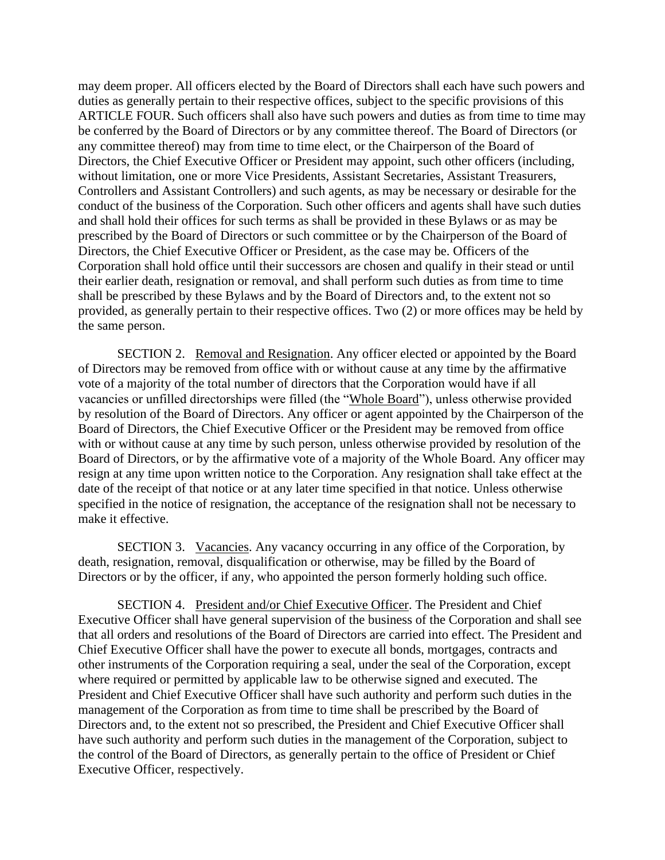may deem proper. All officers elected by the Board of Directors shall each have such powers and duties as generally pertain to their respective offices, subject to the specific provisions of this ARTICLE FOUR. Such officers shall also have such powers and duties as from time to time may be conferred by the Board of Directors or by any committee thereof. The Board of Directors (or any committee thereof) may from time to time elect, or the Chairperson of the Board of Directors, the Chief Executive Officer or President may appoint, such other officers (including, without limitation, one or more Vice Presidents, Assistant Secretaries, Assistant Treasurers, Controllers and Assistant Controllers) and such agents, as may be necessary or desirable for the conduct of the business of the Corporation. Such other officers and agents shall have such duties and shall hold their offices for such terms as shall be provided in these Bylaws or as may be prescribed by the Board of Directors or such committee or by the Chairperson of the Board of Directors, the Chief Executive Officer or President, as the case may be. Officers of the Corporation shall hold office until their successors are chosen and qualify in their stead or until their earlier death, resignation or removal, and shall perform such duties as from time to time shall be prescribed by these Bylaws and by the Board of Directors and, to the extent not so provided, as generally pertain to their respective offices. Two (2) or more offices may be held by the same person.

SECTION 2. Removal and Resignation. Any officer elected or appointed by the Board of Directors may be removed from office with or without cause at any time by the affirmative vote of a majority of the total number of directors that the Corporation would have if all vacancies or unfilled directorships were filled (the "Whole Board"), unless otherwise provided by resolution of the Board of Directors. Any officer or agent appointed by the Chairperson of the Board of Directors, the Chief Executive Officer or the President may be removed from office with or without cause at any time by such person, unless otherwise provided by resolution of the Board of Directors, or by the affirmative vote of a majority of the Whole Board. Any officer may resign at any time upon written notice to the Corporation. Any resignation shall take effect at the date of the receipt of that notice or at any later time specified in that notice. Unless otherwise specified in the notice of resignation, the acceptance of the resignation shall not be necessary to make it effective.

SECTION 3. Vacancies. Any vacancy occurring in any office of the Corporation, by death, resignation, removal, disqualification or otherwise, may be filled by the Board of Directors or by the officer, if any, who appointed the person formerly holding such office.

SECTION 4. President and/or Chief Executive Officer. The President and Chief Executive Officer shall have general supervision of the business of the Corporation and shall see that all orders and resolutions of the Board of Directors are carried into effect. The President and Chief Executive Officer shall have the power to execute all bonds, mortgages, contracts and other instruments of the Corporation requiring a seal, under the seal of the Corporation, except where required or permitted by applicable law to be otherwise signed and executed. The President and Chief Executive Officer shall have such authority and perform such duties in the management of the Corporation as from time to time shall be prescribed by the Board of Directors and, to the extent not so prescribed, the President and Chief Executive Officer shall have such authority and perform such duties in the management of the Corporation, subject to the control of the Board of Directors, as generally pertain to the office of President or Chief Executive Officer, respectively.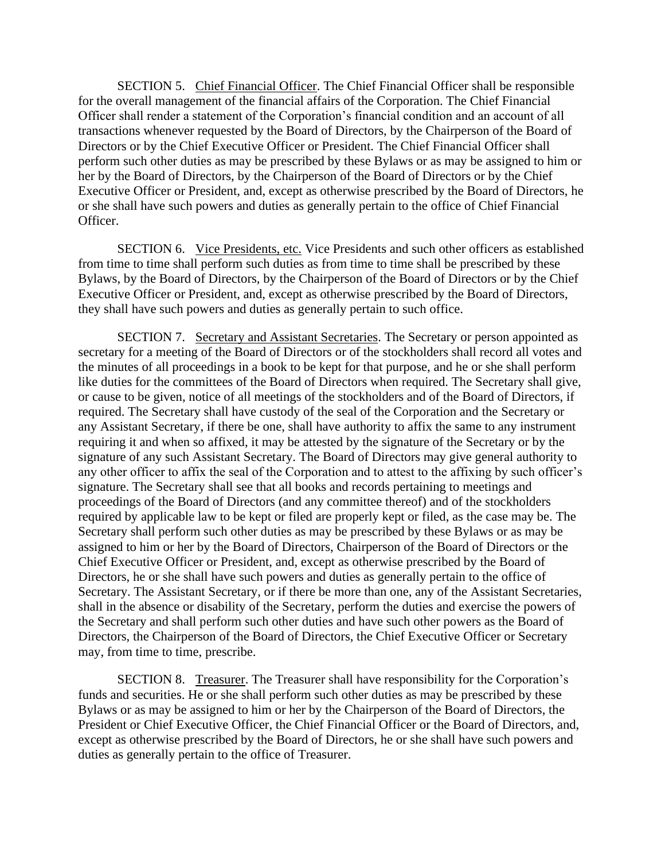SECTION 5. Chief Financial Officer. The Chief Financial Officer shall be responsible for the overall management of the financial affairs of the Corporation. The Chief Financial Officer shall render a statement of the Corporation's financial condition and an account of all transactions whenever requested by the Board of Directors, by the Chairperson of the Board of Directors or by the Chief Executive Officer or President. The Chief Financial Officer shall perform such other duties as may be prescribed by these Bylaws or as may be assigned to him or her by the Board of Directors, by the Chairperson of the Board of Directors or by the Chief Executive Officer or President, and, except as otherwise prescribed by the Board of Directors, he or she shall have such powers and duties as generally pertain to the office of Chief Financial Officer.

SECTION 6. Vice Presidents, etc. Vice Presidents and such other officers as established from time to time shall perform such duties as from time to time shall be prescribed by these Bylaws, by the Board of Directors, by the Chairperson of the Board of Directors or by the Chief Executive Officer or President, and, except as otherwise prescribed by the Board of Directors, they shall have such powers and duties as generally pertain to such office.

SECTION 7. Secretary and Assistant Secretaries. The Secretary or person appointed as secretary for a meeting of the Board of Directors or of the stockholders shall record all votes and the minutes of all proceedings in a book to be kept for that purpose, and he or she shall perform like duties for the committees of the Board of Directors when required. The Secretary shall give, or cause to be given, notice of all meetings of the stockholders and of the Board of Directors, if required. The Secretary shall have custody of the seal of the Corporation and the Secretary or any Assistant Secretary, if there be one, shall have authority to affix the same to any instrument requiring it and when so affixed, it may be attested by the signature of the Secretary or by the signature of any such Assistant Secretary. The Board of Directors may give general authority to any other officer to affix the seal of the Corporation and to attest to the affixing by such officer's signature. The Secretary shall see that all books and records pertaining to meetings and proceedings of the Board of Directors (and any committee thereof) and of the stockholders required by applicable law to be kept or filed are properly kept or filed, as the case may be. The Secretary shall perform such other duties as may be prescribed by these Bylaws or as may be assigned to him or her by the Board of Directors, Chairperson of the Board of Directors or the Chief Executive Officer or President, and, except as otherwise prescribed by the Board of Directors, he or she shall have such powers and duties as generally pertain to the office of Secretary. The Assistant Secretary, or if there be more than one, any of the Assistant Secretaries, shall in the absence or disability of the Secretary, perform the duties and exercise the powers of the Secretary and shall perform such other duties and have such other powers as the Board of Directors, the Chairperson of the Board of Directors, the Chief Executive Officer or Secretary may, from time to time, prescribe.

SECTION 8. Treasurer. The Treasurer shall have responsibility for the Corporation's funds and securities. He or she shall perform such other duties as may be prescribed by these Bylaws or as may be assigned to him or her by the Chairperson of the Board of Directors, the President or Chief Executive Officer, the Chief Financial Officer or the Board of Directors, and, except as otherwise prescribed by the Board of Directors, he or she shall have such powers and duties as generally pertain to the office of Treasurer.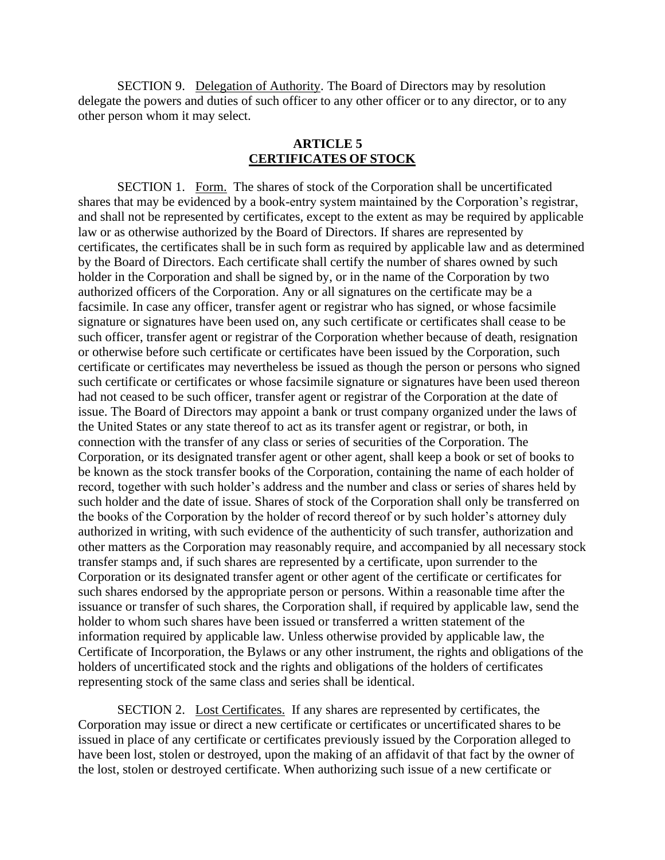SECTION 9. Delegation of Authority. The Board of Directors may by resolution delegate the powers and duties of such officer to any other officer or to any director, or to any other person whom it may select.

### **ARTICLE 5 CERTIFICATES OF STOCK**

SECTION 1. Form. The shares of stock of the Corporation shall be uncertificated shares that may be evidenced by a book-entry system maintained by the Corporation's registrar, and shall not be represented by certificates, except to the extent as may be required by applicable law or as otherwise authorized by the Board of Directors. If shares are represented by certificates, the certificates shall be in such form as required by applicable law and as determined by the Board of Directors. Each certificate shall certify the number of shares owned by such holder in the Corporation and shall be signed by, or in the name of the Corporation by two authorized officers of the Corporation. Any or all signatures on the certificate may be a facsimile. In case any officer, transfer agent or registrar who has signed, or whose facsimile signature or signatures have been used on, any such certificate or certificates shall cease to be such officer, transfer agent or registrar of the Corporation whether because of death, resignation or otherwise before such certificate or certificates have been issued by the Corporation, such certificate or certificates may nevertheless be issued as though the person or persons who signed such certificate or certificates or whose facsimile signature or signatures have been used thereon had not ceased to be such officer, transfer agent or registrar of the Corporation at the date of issue. The Board of Directors may appoint a bank or trust company organized under the laws of the United States or any state thereof to act as its transfer agent or registrar, or both, in connection with the transfer of any class or series of securities of the Corporation. The Corporation, or its designated transfer agent or other agent, shall keep a book or set of books to be known as the stock transfer books of the Corporation, containing the name of each holder of record, together with such holder's address and the number and class or series of shares held by such holder and the date of issue. Shares of stock of the Corporation shall only be transferred on the books of the Corporation by the holder of record thereof or by such holder's attorney duly authorized in writing, with such evidence of the authenticity of such transfer, authorization and other matters as the Corporation may reasonably require, and accompanied by all necessary stock transfer stamps and, if such shares are represented by a certificate, upon surrender to the Corporation or its designated transfer agent or other agent of the certificate or certificates for such shares endorsed by the appropriate person or persons. Within a reasonable time after the issuance or transfer of such shares, the Corporation shall, if required by applicable law, send the holder to whom such shares have been issued or transferred a written statement of the information required by applicable law. Unless otherwise provided by applicable law, the Certificate of Incorporation, the Bylaws or any other instrument, the rights and obligations of the holders of uncertificated stock and the rights and obligations of the holders of certificates representing stock of the same class and series shall be identical.

SECTION 2. Lost Certificates. If any shares are represented by certificates, the Corporation may issue or direct a new certificate or certificates or uncertificated shares to be issued in place of any certificate or certificates previously issued by the Corporation alleged to have been lost, stolen or destroyed, upon the making of an affidavit of that fact by the owner of the lost, stolen or destroyed certificate. When authorizing such issue of a new certificate or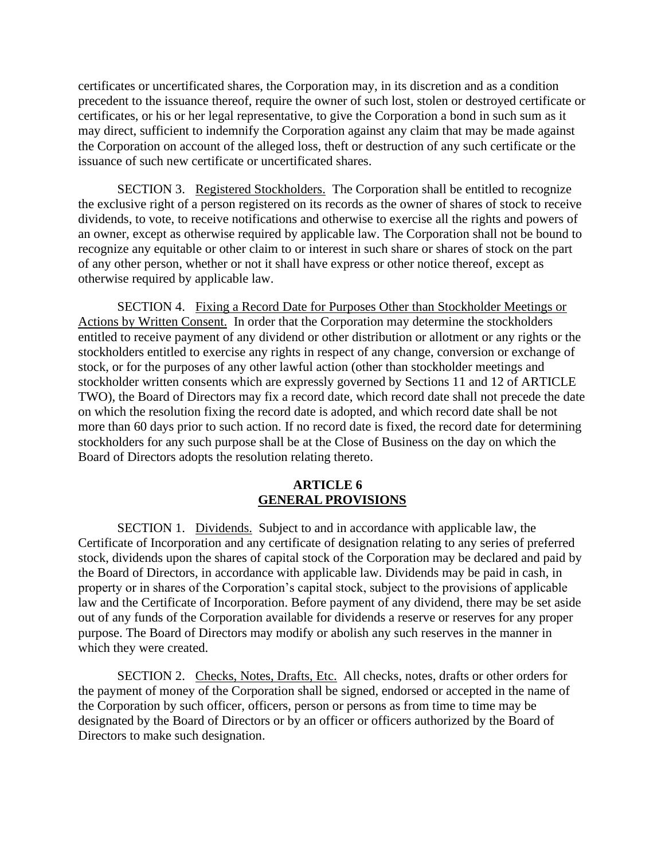certificates or uncertificated shares, the Corporation may, in its discretion and as a condition precedent to the issuance thereof, require the owner of such lost, stolen or destroyed certificate or certificates, or his or her legal representative, to give the Corporation a bond in such sum as it may direct, sufficient to indemnify the Corporation against any claim that may be made against the Corporation on account of the alleged loss, theft or destruction of any such certificate or the issuance of such new certificate or uncertificated shares.

SECTION 3. Registered Stockholders. The Corporation shall be entitled to recognize the exclusive right of a person registered on its records as the owner of shares of stock to receive dividends, to vote, to receive notifications and otherwise to exercise all the rights and powers of an owner, except as otherwise required by applicable law. The Corporation shall not be bound to recognize any equitable or other claim to or interest in such share or shares of stock on the part of any other person, whether or not it shall have express or other notice thereof, except as otherwise required by applicable law.

SECTION 4. Fixing a Record Date for Purposes Other than Stockholder Meetings or Actions by Written Consent. In order that the Corporation may determine the stockholders entitled to receive payment of any dividend or other distribution or allotment or any rights or the stockholders entitled to exercise any rights in respect of any change, conversion or exchange of stock, or for the purposes of any other lawful action (other than stockholder meetings and stockholder written consents which are expressly governed by Sections 11 and 12 of ARTICLE TWO), the Board of Directors may fix a record date, which record date shall not precede the date on which the resolution fixing the record date is adopted, and which record date shall be not more than 60 days prior to such action. If no record date is fixed, the record date for determining stockholders for any such purpose shall be at the Close of Business on the day on which the Board of Directors adopts the resolution relating thereto.

## **ARTICLE 6 GENERAL PROVISIONS**

SECTION 1. Dividends. Subject to and in accordance with applicable law, the Certificate of Incorporation and any certificate of designation relating to any series of preferred stock, dividends upon the shares of capital stock of the Corporation may be declared and paid by the Board of Directors, in accordance with applicable law. Dividends may be paid in cash, in property or in shares of the Corporation's capital stock, subject to the provisions of applicable law and the Certificate of Incorporation. Before payment of any dividend, there may be set aside out of any funds of the Corporation available for dividends a reserve or reserves for any proper purpose. The Board of Directors may modify or abolish any such reserves in the manner in which they were created.

SECTION 2. Checks, Notes, Drafts, Etc. All checks, notes, drafts or other orders for the payment of money of the Corporation shall be signed, endorsed or accepted in the name of the Corporation by such officer, officers, person or persons as from time to time may be designated by the Board of Directors or by an officer or officers authorized by the Board of Directors to make such designation.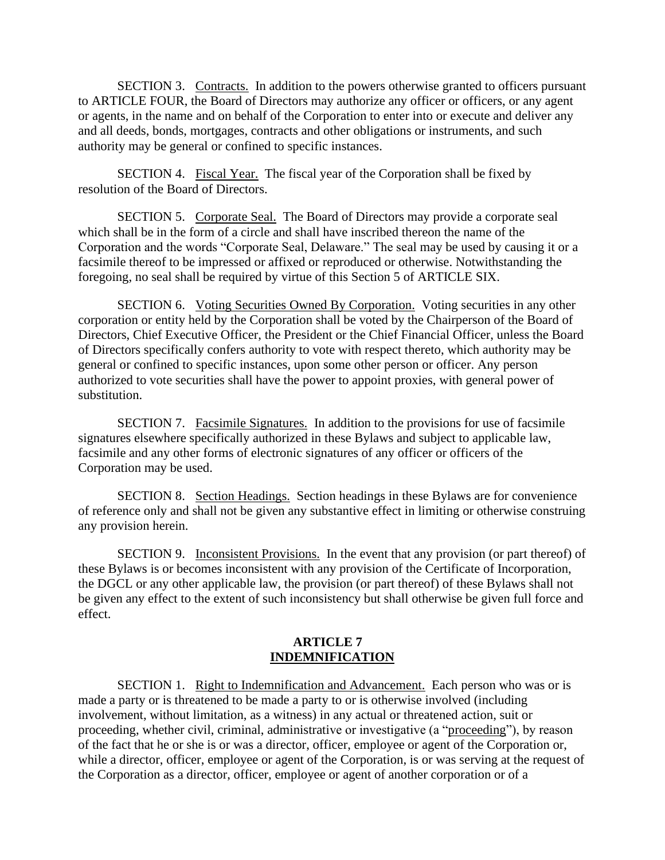SECTION 3. Contracts. In addition to the powers otherwise granted to officers pursuant to ARTICLE FOUR, the Board of Directors may authorize any officer or officers, or any agent or agents, in the name and on behalf of the Corporation to enter into or execute and deliver any and all deeds, bonds, mortgages, contracts and other obligations or instruments, and such authority may be general or confined to specific instances.

SECTION 4. Fiscal Year. The fiscal year of the Corporation shall be fixed by resolution of the Board of Directors.

SECTION 5. Corporate Seal. The Board of Directors may provide a corporate seal which shall be in the form of a circle and shall have inscribed thereon the name of the Corporation and the words "Corporate Seal, Delaware." The seal may be used by causing it or a facsimile thereof to be impressed or affixed or reproduced or otherwise. Notwithstanding the foregoing, no seal shall be required by virtue of this Section 5 of ARTICLE SIX.

SECTION 6. Voting Securities Owned By Corporation. Voting securities in any other corporation or entity held by the Corporation shall be voted by the Chairperson of the Board of Directors, Chief Executive Officer, the President or the Chief Financial Officer, unless the Board of Directors specifically confers authority to vote with respect thereto, which authority may be general or confined to specific instances, upon some other person or officer. Any person authorized to vote securities shall have the power to appoint proxies, with general power of substitution.

SECTION 7. Facsimile Signatures. In addition to the provisions for use of facsimile signatures elsewhere specifically authorized in these Bylaws and subject to applicable law, facsimile and any other forms of electronic signatures of any officer or officers of the Corporation may be used.

SECTION 8. Section Headings. Section headings in these Bylaws are for convenience of reference only and shall not be given any substantive effect in limiting or otherwise construing any provision herein.

SECTION 9. Inconsistent Provisions. In the event that any provision (or part thereof) of these Bylaws is or becomes inconsistent with any provision of the Certificate of Incorporation, the DGCL or any other applicable law, the provision (or part thereof) of these Bylaws shall not be given any effect to the extent of such inconsistency but shall otherwise be given full force and effect.

## **ARTICLE 7 INDEMNIFICATION**

SECTION 1. Right to Indemnification and Advancement. Each person who was or is made a party or is threatened to be made a party to or is otherwise involved (including involvement, without limitation, as a witness) in any actual or threatened action, suit or proceeding, whether civil, criminal, administrative or investigative (a "proceeding"), by reason of the fact that he or she is or was a director, officer, employee or agent of the Corporation or, while a director, officer, employee or agent of the Corporation, is or was serving at the request of the Corporation as a director, officer, employee or agent of another corporation or of a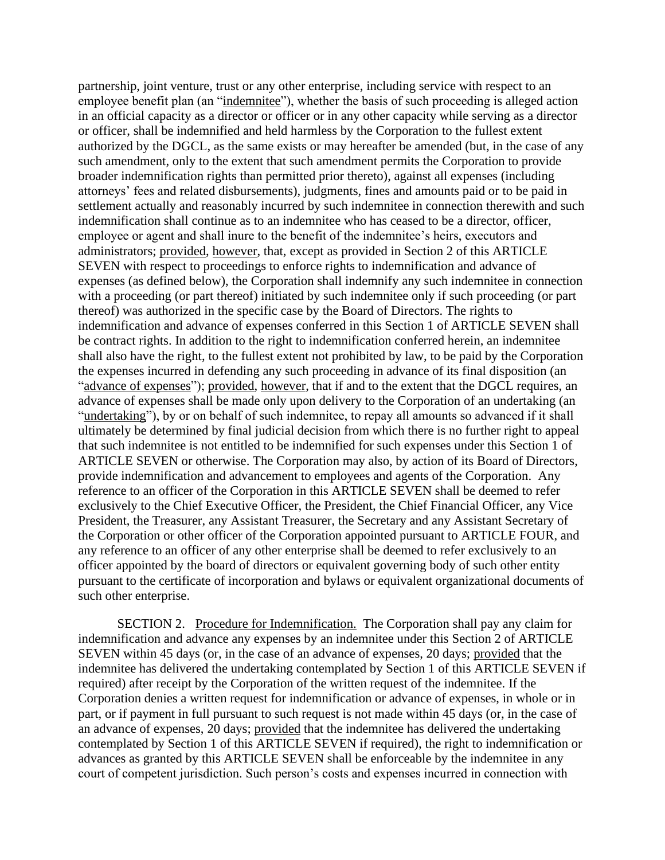partnership, joint venture, trust or any other enterprise, including service with respect to an employee benefit plan (an "indemnitee"), whether the basis of such proceeding is alleged action in an official capacity as a director or officer or in any other capacity while serving as a director or officer, shall be indemnified and held harmless by the Corporation to the fullest extent authorized by the DGCL, as the same exists or may hereafter be amended (but, in the case of any such amendment, only to the extent that such amendment permits the Corporation to provide broader indemnification rights than permitted prior thereto), against all expenses (including attorneys' fees and related disbursements), judgments, fines and amounts paid or to be paid in settlement actually and reasonably incurred by such indemnitee in connection therewith and such indemnification shall continue as to an indemnitee who has ceased to be a director, officer, employee or agent and shall inure to the benefit of the indemnitee's heirs, executors and administrators; provided, however, that, except as provided in Section 2 of this ARTICLE SEVEN with respect to proceedings to enforce rights to indemnification and advance of expenses (as defined below), the Corporation shall indemnify any such indemnitee in connection with a proceeding (or part thereof) initiated by such indemnitee only if such proceeding (or part thereof) was authorized in the specific case by the Board of Directors. The rights to indemnification and advance of expenses conferred in this Section 1 of ARTICLE SEVEN shall be contract rights. In addition to the right to indemnification conferred herein, an indemnitee shall also have the right, to the fullest extent not prohibited by law, to be paid by the Corporation the expenses incurred in defending any such proceeding in advance of its final disposition (an "advance of expenses"); provided, however, that if and to the extent that the DGCL requires, an advance of expenses shall be made only upon delivery to the Corporation of an undertaking (an "undertaking"), by or on behalf of such indemnitee, to repay all amounts so advanced if it shall ultimately be determined by final judicial decision from which there is no further right to appeal that such indemnitee is not entitled to be indemnified for such expenses under this Section 1 of ARTICLE SEVEN or otherwise. The Corporation may also, by action of its Board of Directors, provide indemnification and advancement to employees and agents of the Corporation. Any reference to an officer of the Corporation in this ARTICLE SEVEN shall be deemed to refer exclusively to the Chief Executive Officer, the President, the Chief Financial Officer, any Vice President, the Treasurer, any Assistant Treasurer, the Secretary and any Assistant Secretary of the Corporation or other officer of the Corporation appointed pursuant to ARTICLE FOUR, and any reference to an officer of any other enterprise shall be deemed to refer exclusively to an officer appointed by the board of directors or equivalent governing body of such other entity pursuant to the certificate of incorporation and bylaws or equivalent organizational documents of such other enterprise.

SECTION 2. Procedure for Indemnification. The Corporation shall pay any claim for indemnification and advance any expenses by an indemnitee under this Section 2 of ARTICLE SEVEN within 45 days (or, in the case of an advance of expenses, 20 days; provided that the indemnitee has delivered the undertaking contemplated by Section 1 of this ARTICLE SEVEN if required) after receipt by the Corporation of the written request of the indemnitee. If the Corporation denies a written request for indemnification or advance of expenses, in whole or in part, or if payment in full pursuant to such request is not made within 45 days (or, in the case of an advance of expenses, 20 days; provided that the indemnitee has delivered the undertaking contemplated by Section 1 of this ARTICLE SEVEN if required), the right to indemnification or advances as granted by this ARTICLE SEVEN shall be enforceable by the indemnitee in any court of competent jurisdiction. Such person's costs and expenses incurred in connection with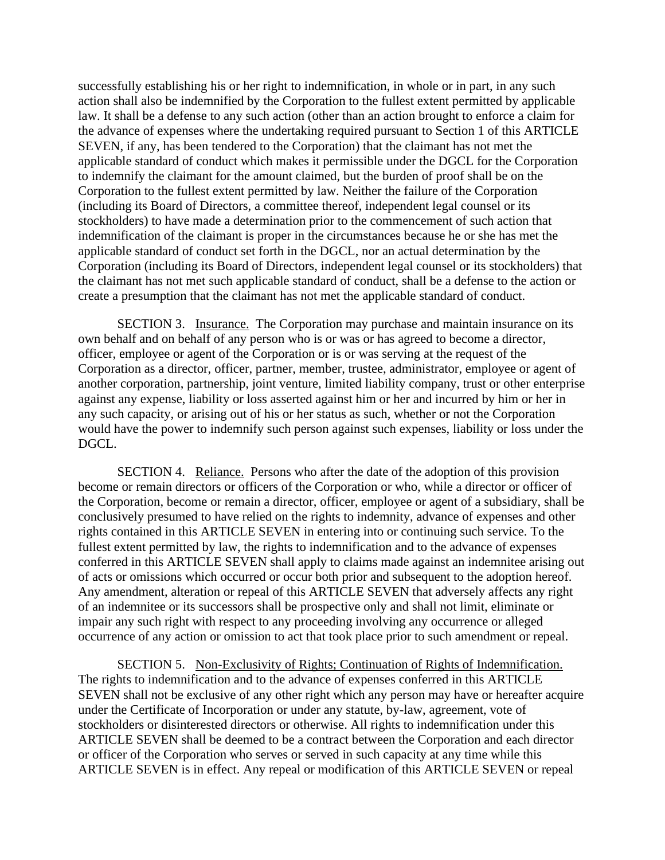successfully establishing his or her right to indemnification, in whole or in part, in any such action shall also be indemnified by the Corporation to the fullest extent permitted by applicable law. It shall be a defense to any such action (other than an action brought to enforce a claim for the advance of expenses where the undertaking required pursuant to Section 1 of this ARTICLE SEVEN, if any, has been tendered to the Corporation) that the claimant has not met the applicable standard of conduct which makes it permissible under the DGCL for the Corporation to indemnify the claimant for the amount claimed, but the burden of proof shall be on the Corporation to the fullest extent permitted by law. Neither the failure of the Corporation (including its Board of Directors, a committee thereof, independent legal counsel or its stockholders) to have made a determination prior to the commencement of such action that indemnification of the claimant is proper in the circumstances because he or she has met the applicable standard of conduct set forth in the DGCL, nor an actual determination by the Corporation (including its Board of Directors, independent legal counsel or its stockholders) that the claimant has not met such applicable standard of conduct, shall be a defense to the action or create a presumption that the claimant has not met the applicable standard of conduct.

SECTION 3. Insurance. The Corporation may purchase and maintain insurance on its own behalf and on behalf of any person who is or was or has agreed to become a director, officer, employee or agent of the Corporation or is or was serving at the request of the Corporation as a director, officer, partner, member, trustee, administrator, employee or agent of another corporation, partnership, joint venture, limited liability company, trust or other enterprise against any expense, liability or loss asserted against him or her and incurred by him or her in any such capacity, or arising out of his or her status as such, whether or not the Corporation would have the power to indemnify such person against such expenses, liability or loss under the DGCL.

SECTION 4. Reliance. Persons who after the date of the adoption of this provision become or remain directors or officers of the Corporation or who, while a director or officer of the Corporation, become or remain a director, officer, employee or agent of a subsidiary, shall be conclusively presumed to have relied on the rights to indemnity, advance of expenses and other rights contained in this ARTICLE SEVEN in entering into or continuing such service. To the fullest extent permitted by law, the rights to indemnification and to the advance of expenses conferred in this ARTICLE SEVEN shall apply to claims made against an indemnitee arising out of acts or omissions which occurred or occur both prior and subsequent to the adoption hereof. Any amendment, alteration or repeal of this ARTICLE SEVEN that adversely affects any right of an indemnitee or its successors shall be prospective only and shall not limit, eliminate or impair any such right with respect to any proceeding involving any occurrence or alleged occurrence of any action or omission to act that took place prior to such amendment or repeal.

SECTION 5. Non-Exclusivity of Rights; Continuation of Rights of Indemnification. The rights to indemnification and to the advance of expenses conferred in this ARTICLE SEVEN shall not be exclusive of any other right which any person may have or hereafter acquire under the Certificate of Incorporation or under any statute, by-law, agreement, vote of stockholders or disinterested directors or otherwise. All rights to indemnification under this ARTICLE SEVEN shall be deemed to be a contract between the Corporation and each director or officer of the Corporation who serves or served in such capacity at any time while this ARTICLE SEVEN is in effect. Any repeal or modification of this ARTICLE SEVEN or repeal